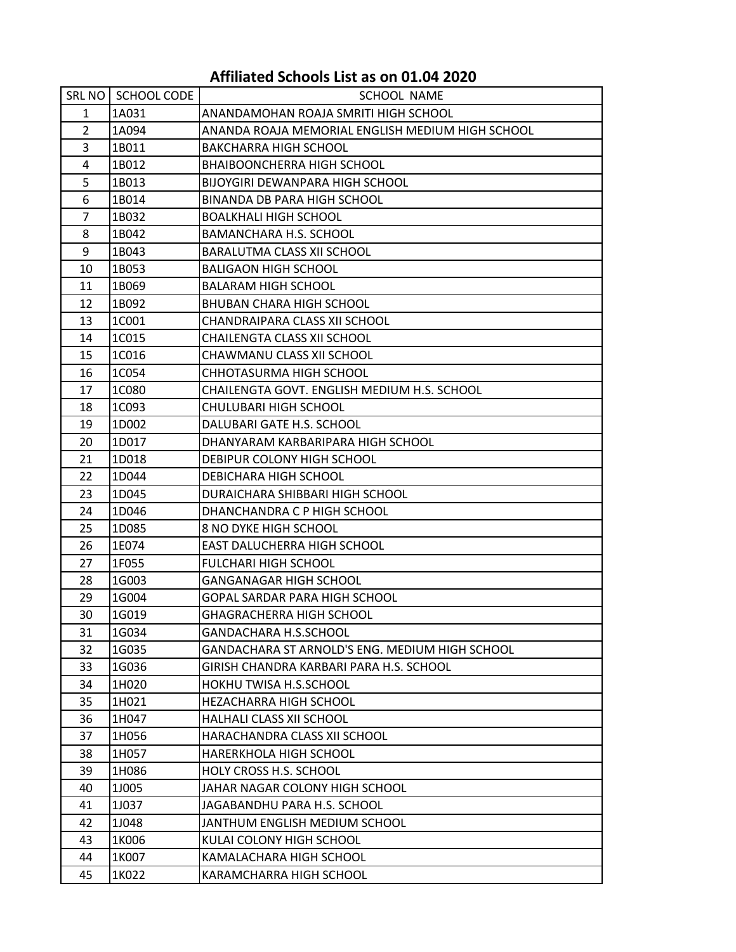## **Affiliated Schools List as on 01.04 2020**

|                | SRL NO SCHOOL CODE | <b>SCHOOL NAME</b>                               |
|----------------|--------------------|--------------------------------------------------|
| 1              | 1A031              | ANANDAMOHAN ROAJA SMRITI HIGH SCHOOL             |
| $\overline{2}$ | 1A094              | ANANDA ROAJA MEMORIAL ENGLISH MEDIUM HIGH SCHOOL |
| 3              | 1B011              | <b>BAKCHARRA HIGH SCHOOL</b>                     |
| 4              | 1B012              | <b>BHAIBOONCHERRA HIGH SCHOOL</b>                |
| 5              | 1B013              | BIJOYGIRI DEWANPARA HIGH SCHOOL                  |
| 6              | 1B014              | BINANDA DB PARA HIGH SCHOOL                      |
| 7              | 1B032              | <b>BOALKHALI HIGH SCHOOL</b>                     |
| 8              | 1B042              | <b>BAMANCHARA H.S. SCHOOL</b>                    |
| 9              | 1B043              | BARALUTMA CLASS XII SCHOOL                       |
| 10             | 1B053              | <b>BALIGAON HIGH SCHOOL</b>                      |
| 11             | 1B069              | <b>BALARAM HIGH SCHOOL</b>                       |
| 12             | 1B092              | BHUBAN CHARA HIGH SCHOOL                         |
| 13             | 1C001              | CHANDRAIPARA CLASS XII SCHOOL                    |
| 14             | 1C015              | CHAILENGTA CLASS XII SCHOOL                      |
| 15             | 1C016              | CHAWMANU CLASS XII SCHOOL                        |
| 16             | 1C054              | CHHOTASURMA HIGH SCHOOL                          |
| 17             | 1C080              | CHAILENGTA GOVT. ENGLISH MEDIUM H.S. SCHOOL      |
| 18             | 1C093              | CHULUBARI HIGH SCHOOL                            |
| 19             | 1D002              | DALUBARI GATE H.S. SCHOOL                        |
| 20             | 1D017              | DHANYARAM KARBARIPARA HIGH SCHOOL                |
| 21             | 1D018              | DEBIPUR COLONY HIGH SCHOOL                       |
| 22             | 1D044              | DEBICHARA HIGH SCHOOL                            |
| 23             | 1D045              | DURAICHARA SHIBBARI HIGH SCHOOL                  |
| 24             | 1D046              | DHANCHANDRA C P HIGH SCHOOL                      |
| 25             | 1D085              | 8 NO DYKE HIGH SCHOOL                            |
| 26             | 1E074              | EAST DALUCHERRA HIGH SCHOOL                      |
| 27             | 1F055              | <b>FULCHARI HIGH SCHOOL</b>                      |
| 28             | 1G003              | <b>GANGANAGAR HIGH SCHOOL</b>                    |
| 29             | 1G004              | GOPAL SARDAR PARA HIGH SCHOOL                    |
| 30             | 1G019              | GHAGRACHERRA HIGH SCHOOL                         |
| 31             | 1G034              | GANDACHARA H.S.SCHOOL                            |
| 32             | 1G035              | GANDACHARA ST ARNOLD'S ENG. MEDIUM HIGH SCHOOL   |
| 33             | 1G036              | GIRISH CHANDRA KARBARI PARA H.S. SCHOOL          |
| 34             | 1H020              | HOKHU TWISA H.S.SCHOOL                           |
| 35             | 1H021              | HEZACHARRA HIGH SCHOOL                           |
| 36             | 1H047              | HALHALI CLASS XII SCHOOL                         |
| 37             | 1H056              | HARACHANDRA CLASS XII SCHOOL                     |
| 38             | 1H057              | <b>HARERKHOLA HIGH SCHOOL</b>                    |
| 39             | 1H086              | HOLY CROSS H.S. SCHOOL                           |
| 40             | 1J005              | JAHAR NAGAR COLONY HIGH SCHOOL                   |
| 41             | 1J037              | JAGABANDHU PARA H.S. SCHOOL                      |
| 42             | 1J048              | JANTHUM ENGLISH MEDIUM SCHOOL                    |
| 43             | 1K006              | KULAI COLONY HIGH SCHOOL                         |
| 44             | 1K007              | KAMALACHARA HIGH SCHOOL                          |
| 45             | 1K022              | KARAMCHARRA HIGH SCHOOL                          |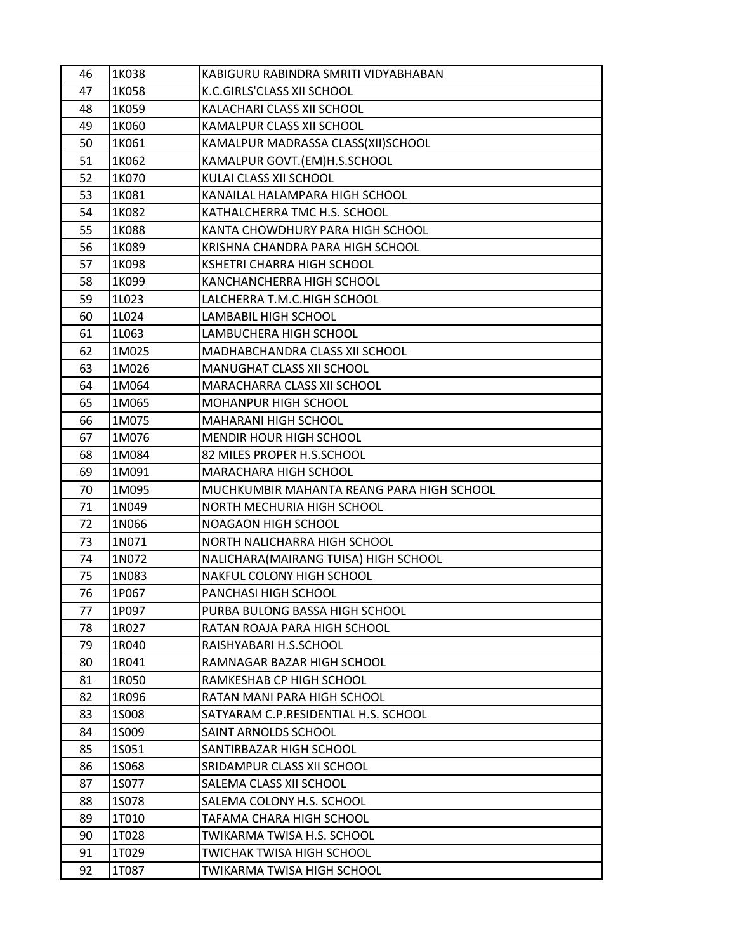| 46 | 1K038        | KABIGURU RABINDRA SMRITI VIDYABHABAN      |
|----|--------------|-------------------------------------------|
| 47 | 1K058        | K.C.GIRLS'CLASS XII SCHOOL                |
| 48 | 1K059        | KALACHARI CLASS XII SCHOOL                |
| 49 | 1K060        | KAMALPUR CLASS XII SCHOOL                 |
| 50 | 1K061        | KAMALPUR MADRASSA CLASS(XII)SCHOOL        |
| 51 | 1K062        | KAMALPUR GOVT.(EM)H.S.SCHOOL              |
| 52 | 1K070        | KULAI CLASS XII SCHOOL                    |
| 53 | 1K081        | KANAILAL HALAMPARA HIGH SCHOOL            |
| 54 | 1K082        | KATHALCHERRA TMC H.S. SCHOOL              |
| 55 | 1K088        | KANTA CHOWDHURY PARA HIGH SCHOOL          |
| 56 | 1K089        | KRISHNA CHANDRA PARA HIGH SCHOOL          |
| 57 | 1K098        | <b>KSHETRI CHARRA HIGH SCHOOL</b>         |
| 58 | 1K099        | KANCHANCHERRA HIGH SCHOOL                 |
| 59 | 1L023        | LALCHERRA T.M.C.HIGH SCHOOL               |
| 60 | 1L024        | LAMBABIL HIGH SCHOOL                      |
| 61 | 1L063        | LAMBUCHERA HIGH SCHOOL                    |
| 62 | 1M025        | MADHABCHANDRA CLASS XII SCHOOL            |
| 63 | 1M026        | MANUGHAT CLASS XII SCHOOL                 |
| 64 | 1M064        | MARACHARRA CLASS XII SCHOOL               |
| 65 | 1M065        | MOHANPUR HIGH SCHOOL                      |
| 66 | 1M075        | <b>MAHARANI HIGH SCHOOL</b>               |
| 67 | 1M076        | MENDIR HOUR HIGH SCHOOL                   |
| 68 | 1M084        | 82 MILES PROPER H.S.SCHOOL                |
| 69 | 1M091        | MARACHARA HIGH SCHOOL                     |
| 70 | 1M095        | MUCHKUMBIR MAHANTA REANG PARA HIGH SCHOOL |
| 71 | 1N049        | NORTH MECHURIA HIGH SCHOOL                |
| 72 | 1N066        | NOAGAON HIGH SCHOOL                       |
| 73 | 1N071        | NORTH NALICHARRA HIGH SCHOOL              |
| 74 | 1N072        | NALICHARA (MAIRANG TUISA) HIGH SCHOOL     |
| 75 | 1N083        | NAKFUL COLONY HIGH SCHOOL                 |
| 76 | 1P067        | PANCHASI HIGH SCHOOL                      |
| 77 | 1P097        | PURBA BULONG BASSA HIGH SCHOOL            |
| 78 | 1R027        | RATAN ROAJA PARA HIGH SCHOOL              |
| 79 | 1R040        | RAISHYABARI H.S.SCHOOL                    |
| 80 | 1R041        | RAMNAGAR BAZAR HIGH SCHOOL                |
| 81 | 1R050        | RAMKESHAB CP HIGH SCHOOL                  |
| 82 | 1R096        | RATAN MANI PARA HIGH SCHOOL               |
| 83 | <b>1S008</b> | SATYARAM C.P.RESIDENTIAL H.S. SCHOOL      |
| 84 | 1S009        | SAINT ARNOLDS SCHOOL                      |
| 85 | 1S051        | SANTIRBAZAR HIGH SCHOOL                   |
| 86 | 1S068        | SRIDAMPUR CLASS XII SCHOOL                |
| 87 | 1S077        | SALEMA CLASS XII SCHOOL                   |
| 88 | 1S078        | SALEMA COLONY H.S. SCHOOL                 |
| 89 | 1T010        | TAFAMA CHARA HIGH SCHOOL                  |
| 90 | 1T028        | TWIKARMA TWISA H.S. SCHOOL                |
| 91 | 1T029        | TWICHAK TWISA HIGH SCHOOL                 |
| 92 | 1T087        | TWIKARMA TWISA HIGH SCHOOL                |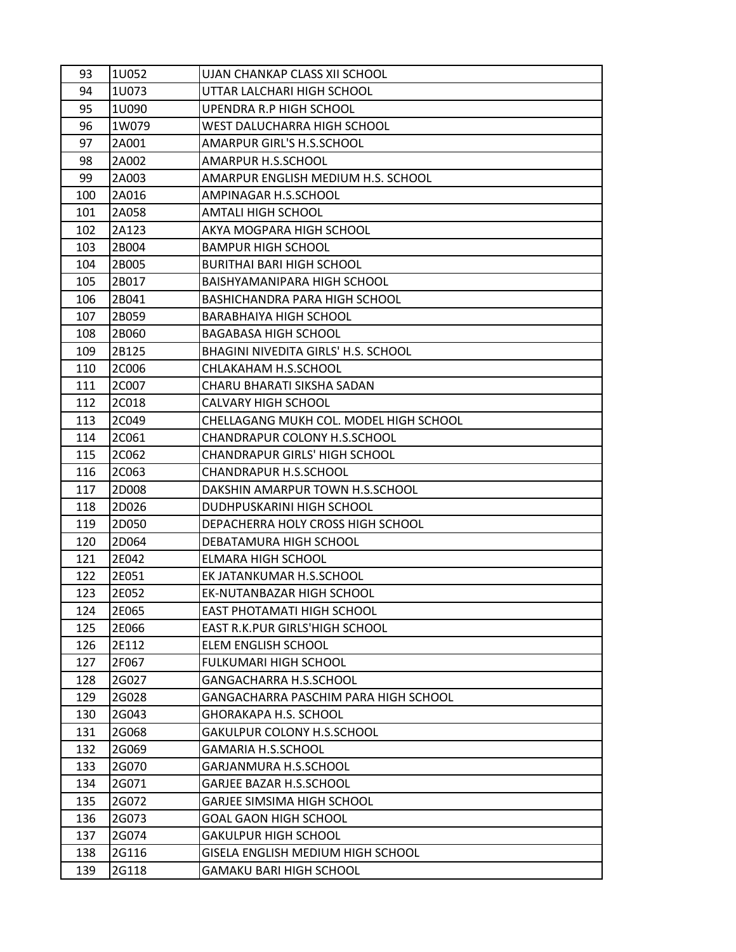| 93  | 1U052 | UJAN CHANKAP CLASS XII SCHOOL          |
|-----|-------|----------------------------------------|
| 94  | 1U073 | UTTAR LALCHARI HIGH SCHOOL             |
| 95  | 1U090 | UPENDRA R.P HIGH SCHOOL                |
| 96  | 1W079 | WEST DALUCHARRA HIGH SCHOOL            |
| 97  | 2A001 | <b>AMARPUR GIRL'S H.S.SCHOOL</b>       |
| 98  | 2A002 | <b>AMARPUR H.S.SCHOOL</b>              |
| 99  | 2A003 | AMARPUR ENGLISH MEDIUM H.S. SCHOOL     |
| 100 | 2A016 | AMPINAGAR H.S.SCHOOL                   |
| 101 | 2A058 | <b>AMTALI HIGH SCHOOL</b>              |
| 102 | 2A123 | AKYA MOGPARA HIGH SCHOOL               |
| 103 | 2B004 | <b>BAMPUR HIGH SCHOOL</b>              |
| 104 | 2B005 | <b>BURITHAI BARI HIGH SCHOOL</b>       |
| 105 | 2B017 | BAISHYAMANIPARA HIGH SCHOOL            |
| 106 | 2B041 | BASHICHANDRA PARA HIGH SCHOOL          |
| 107 | 2B059 | <b>BARABHAIYA HIGH SCHOOL</b>          |
| 108 | 2B060 | <b>BAGABASA HIGH SCHOOL</b>            |
| 109 | 2B125 | BHAGINI NIVEDITA GIRLS' H.S. SCHOOL    |
| 110 | 2C006 | CHLAKAHAM H.S.SCHOOL                   |
| 111 | 2C007 | CHARU BHARATI SIKSHA SADAN             |
| 112 | 2C018 | <b>CALVARY HIGH SCHOOL</b>             |
| 113 | 2C049 | CHELLAGANG MUKH COL. MODEL HIGH SCHOOL |
| 114 | 2C061 | CHANDRAPUR COLONY H.S.SCHOOL           |
| 115 | 2C062 | <b>CHANDRAPUR GIRLS' HIGH SCHOOL</b>   |
| 116 | 2C063 | <b>CHANDRAPUR H.S.SCHOOL</b>           |
| 117 | 2D008 | DAKSHIN AMARPUR TOWN H.S.SCHOOL        |
| 118 | 2D026 | DUDHPUSKARINI HIGH SCHOOL              |
| 119 | 2D050 | DEPACHERRA HOLY CROSS HIGH SCHOOL      |
| 120 | 2D064 | DEBATAMURA HIGH SCHOOL                 |
| 121 | 2E042 | <b>ELMARA HIGH SCHOOL</b>              |
| 122 | 2E051 | EK JATANKUMAR H.S.SCHOOL               |
| 123 | 2E052 | EK-NUTANBAZAR HIGH SCHOOL              |
| 124 | 2E065 | EAST PHOTAMATI HIGH SCHOOL             |
| 125 | 2E066 | EAST R.K.PUR GIRLS'HIGH SCHOOL         |
| 126 | 2E112 | ELEM ENGLISH SCHOOL                    |
| 127 | 2F067 | FULKUMARI HIGH SCHOOL                  |
| 128 | 2G027 | GANGACHARRA H.S.SCHOOL                 |
| 129 | 2G028 | GANGACHARRA PASCHIM PARA HIGH SCHOOL   |
| 130 | 2G043 | <b>GHORAKAPA H.S. SCHOOL</b>           |
| 131 | 2G068 | GAKULPUR COLONY H.S.SCHOOL             |
| 132 | 2G069 | <b>GAMARIA H.S.SCHOOL</b>              |
| 133 | 2G070 | GARJANMURA H.S.SCHOOL                  |
| 134 | 2G071 | <b>GARJEE BAZAR H.S.SCHOOL</b>         |
| 135 | 2G072 | <b>GARJEE SIMSIMA HIGH SCHOOL</b>      |
| 136 | 2G073 | <b>GOAL GAON HIGH SCHOOL</b>           |
| 137 | 2G074 | <b>GAKULPUR HIGH SCHOOL</b>            |
| 138 | 2G116 | GISELA ENGLISH MEDIUM HIGH SCHOOL      |
| 139 | 2G118 | <b>GAMAKU BARI HIGH SCHOOL</b>         |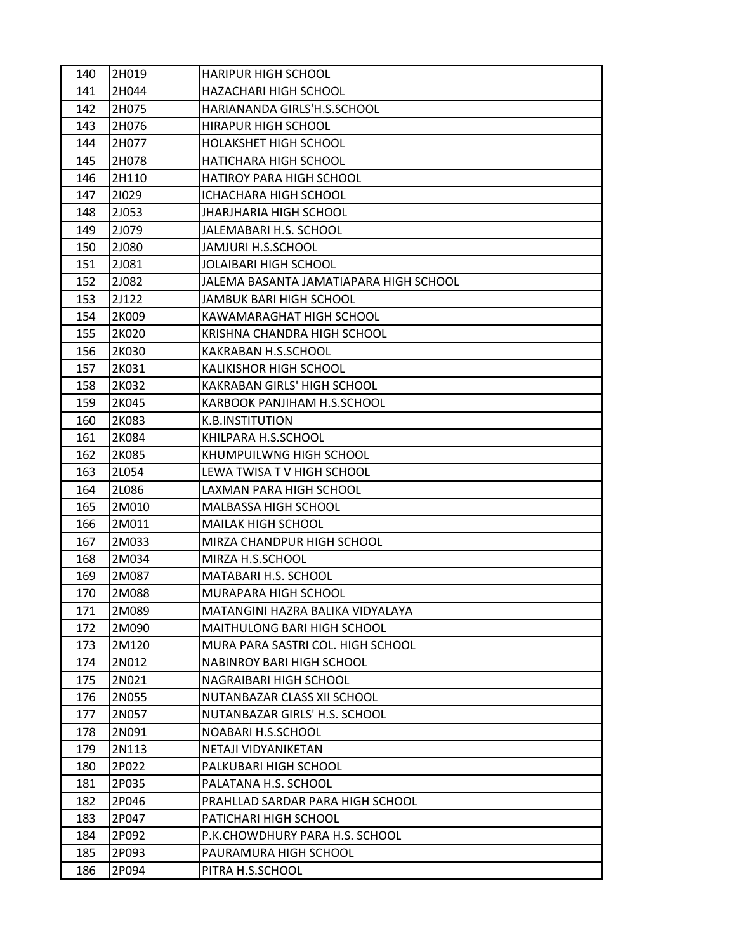| 140 | 2H019 | <b>HARIPUR HIGH SCHOOL</b>             |
|-----|-------|----------------------------------------|
| 141 | 2H044 | HAZACHARI HIGH SCHOOL                  |
| 142 | 2H075 | HARIANANDA GIRLS'H.S.SCHOOL            |
| 143 | 2H076 | <b>HIRAPUR HIGH SCHOOL</b>             |
| 144 | 2H077 | <b>HOLAKSHET HIGH SCHOOL</b>           |
| 145 | 2H078 | HATICHARA HIGH SCHOOL                  |
| 146 | 2H110 | HATIROY PARA HIGH SCHOOL               |
| 147 | 21029 | ICHACHARA HIGH SCHOOL                  |
| 148 | 2J053 | <b>JHARJHARIA HIGH SCHOOL</b>          |
| 149 | 2J079 | JALEMABARI H.S. SCHOOL                 |
| 150 | 2J080 | JAMJURI H.S.SCHOOL                     |
| 151 | 2J081 | JOLAIBARI HIGH SCHOOL                  |
| 152 | 2J082 | JALEMA BASANTA JAMATIAPARA HIGH SCHOOL |
| 153 | 2J122 | JAMBUK BARI HIGH SCHOOL                |
| 154 | 2K009 | KAWAMARAGHAT HIGH SCHOOL               |
| 155 | 2K020 | KRISHNA CHANDRA HIGH SCHOOL            |
| 156 | 2K030 | KAKRABAN H.S.SCHOOL                    |
| 157 | 2K031 | <b>KALIKISHOR HIGH SCHOOL</b>          |
| 158 | 2K032 | <b>KAKRABAN GIRLS' HIGH SCHOOL</b>     |
| 159 | 2K045 | KARBOOK PANJIHAM H.S.SCHOOL            |
| 160 | 2K083 | K.B.INSTITUTION                        |
| 161 | 2K084 | KHILPARA H.S.SCHOOL                    |
| 162 | 2K085 | KHUMPUILWNG HIGH SCHOOL                |
| 163 | 2L054 | LEWA TWISA TV HIGH SCHOOL              |
| 164 | 2L086 | LAXMAN PARA HIGH SCHOOL                |
| 165 | 2M010 | <b>MALBASSA HIGH SCHOOL</b>            |
| 166 | 2M011 | <b>MAILAK HIGH SCHOOL</b>              |
| 167 | 2M033 | MIRZA CHANDPUR HIGH SCHOOL             |
| 168 | 2M034 | MIRZA H.S.SCHOOL                       |
| 169 | 2M087 | MATABARI H.S. SCHOOL                   |
| 170 | 2M088 | MURAPARA HIGH SCHOOL                   |
| 171 | 2M089 | MATANGINI HAZRA BALIKA VIDYALAYA       |
| 172 | 2M090 | <b>MAITHULONG BARI HIGH SCHOOL</b>     |
| 173 | 2M120 | MURA PARA SASTRI COL. HIGH SCHOOL      |
| 174 | 2N012 | <b>NABINROY BARI HIGH SCHOOL</b>       |
| 175 | 2N021 | NAGRAIBARI HIGH SCHOOL                 |
| 176 | 2N055 | NUTANBAZAR CLASS XII SCHOOL            |
| 177 | 2N057 | NUTANBAZAR GIRLS' H.S. SCHOOL          |
| 178 | 2N091 | NOABARI H.S.SCHOOL                     |
| 179 | 2N113 | NETAJI VIDYANIKETAN                    |
| 180 | 2P022 | PALKUBARI HIGH SCHOOL                  |
| 181 | 2P035 | PALATANA H.S. SCHOOL                   |
| 182 | 2P046 | PRAHLLAD SARDAR PARA HIGH SCHOOL       |
| 183 | 2P047 | PATICHARI HIGH SCHOOL                  |
| 184 | 2P092 | P.K.CHOWDHURY PARA H.S. SCHOOL         |
| 185 | 2P093 | PAURAMURA HIGH SCHOOL                  |
| 186 | 2P094 | PITRA H.S.SCHOOL                       |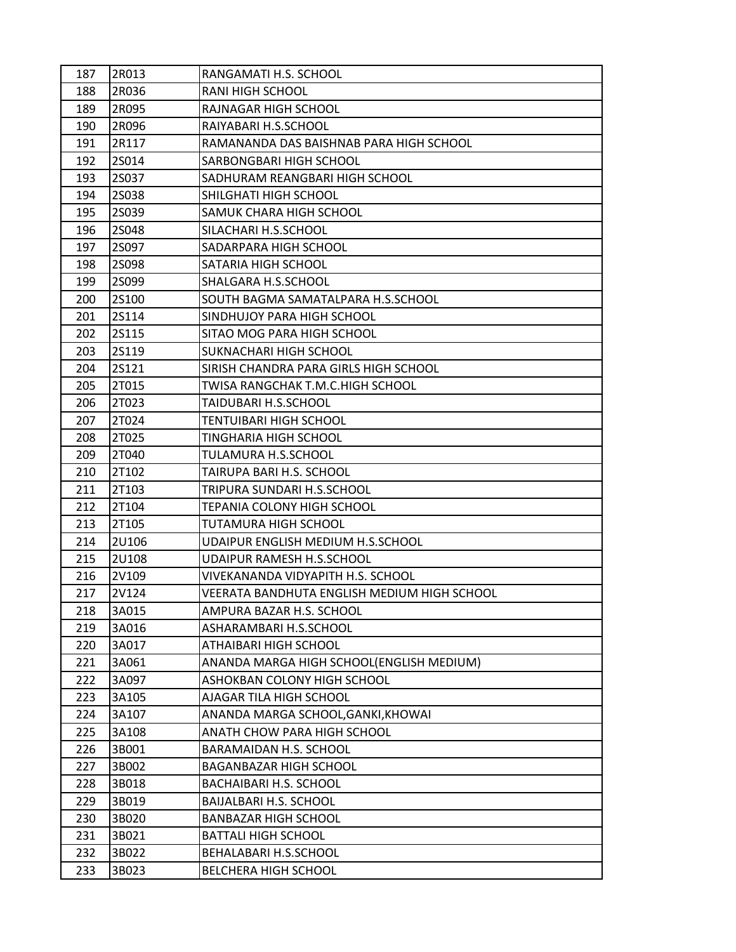| 187 | 2R013        | RANGAMATI H.S. SCHOOL                       |
|-----|--------------|---------------------------------------------|
| 188 | 2R036        | RANI HIGH SCHOOL                            |
| 189 | 2R095        | RAJNAGAR HIGH SCHOOL                        |
| 190 | 2R096        | RAIYABARI H.S.SCHOOL                        |
| 191 | 2R117        | RAMANANDA DAS BAISHNAB PARA HIGH SCHOOL     |
| 192 | 2S014        | SARBONGBARI HIGH SCHOOL                     |
| 193 | 2S037        | SADHURAM REANGBARI HIGH SCHOOL              |
| 194 | 25038        | SHILGHATI HIGH SCHOOL                       |
| 195 | 2S039        | SAMUK CHARA HIGH SCHOOL                     |
| 196 | 25048        | SILACHARI H.S.SCHOOL                        |
| 197 | 2S097        | SADARPARA HIGH SCHOOL                       |
| 198 | 25098        | SATARIA HIGH SCHOOL                         |
| 199 | 25099        | SHALGARA H.S.SCHOOL                         |
| 200 | <b>2S100</b> | SOUTH BAGMA SAMATALPARA H.S.SCHOOL          |
| 201 | <b>2S114</b> | SINDHUJOY PARA HIGH SCHOOL                  |
| 202 | 2S115        | SITAO MOG PARA HIGH SCHOOL                  |
| 203 | 2S119        | SUKNACHARI HIGH SCHOOL                      |
| 204 | 2S121        | SIRISH CHANDRA PARA GIRLS HIGH SCHOOL       |
| 205 | 2T015        | TWISA RANGCHAK T.M.C.HIGH SCHOOL            |
| 206 | 2T023        | TAIDUBARI H.S.SCHOOL                        |
| 207 | 2T024        | TENTUIBARI HIGH SCHOOL                      |
| 208 | 2T025        | TINGHARIA HIGH SCHOOL                       |
| 209 | 2T040        | TULAMURA H.S.SCHOOL                         |
| 210 | 2T102        | TAIRUPA BARI H.S. SCHOOL                    |
| 211 | 2T103        | TRIPURA SUNDARI H.S.SCHOOL                  |
| 212 | 2T104        | TEPANIA COLONY HIGH SCHOOL                  |
| 213 | 2T105        | TUTAMURA HIGH SCHOOL                        |
| 214 | 2U106        | UDAIPUR ENGLISH MEDIUM H.S.SCHOOL           |
| 215 | 2U108        | <b>UDAIPUR RAMESH H.S.SCHOOL</b>            |
| 216 | 2V109        | VIVEKANANDA VIDYAPITH H.S. SCHOOL           |
| 217 | 2V124        | VEERATA BANDHUTA ENGLISH MEDIUM HIGH SCHOOL |
| 218 | 3A015        | AMPURA BAZAR H.S. SCHOOL                    |
| 219 | 3A016        | ASHARAMBARI H.S.SCHOOL                      |
| 220 | 3A017        | ATHAIBARI HIGH SCHOOL                       |
| 221 | 3A061        | ANANDA MARGA HIGH SCHOOL(ENGLISH MEDIUM)    |
| 222 | 3A097        | ASHOKBAN COLONY HIGH SCHOOL                 |
| 223 | 3A105        | AJAGAR TILA HIGH SCHOOL                     |
| 224 | 3A107        | ANANDA MARGA SCHOOL, GANKI, KHOWAI          |
| 225 | 3A108        | ANATH CHOW PARA HIGH SCHOOL                 |
| 226 | 3B001        | BARAMAIDAN H.S. SCHOOL                      |
| 227 | 3B002        | <b>BAGANBAZAR HIGH SCHOOL</b>               |
| 228 | 3B018        | <b>BACHAIBARI H.S. SCHOOL</b>               |
| 229 | 3B019        | BAIJALBARI H.S. SCHOOL                      |
| 230 | 3B020        | <b>BANBAZAR HIGH SCHOOL</b>                 |
| 231 | 3B021        | <b>BATTALI HIGH SCHOOL</b>                  |
| 232 | 3B022        | BEHALABARI H.S.SCHOOL                       |
| 233 | 3B023        | <b>BELCHERA HIGH SCHOOL</b>                 |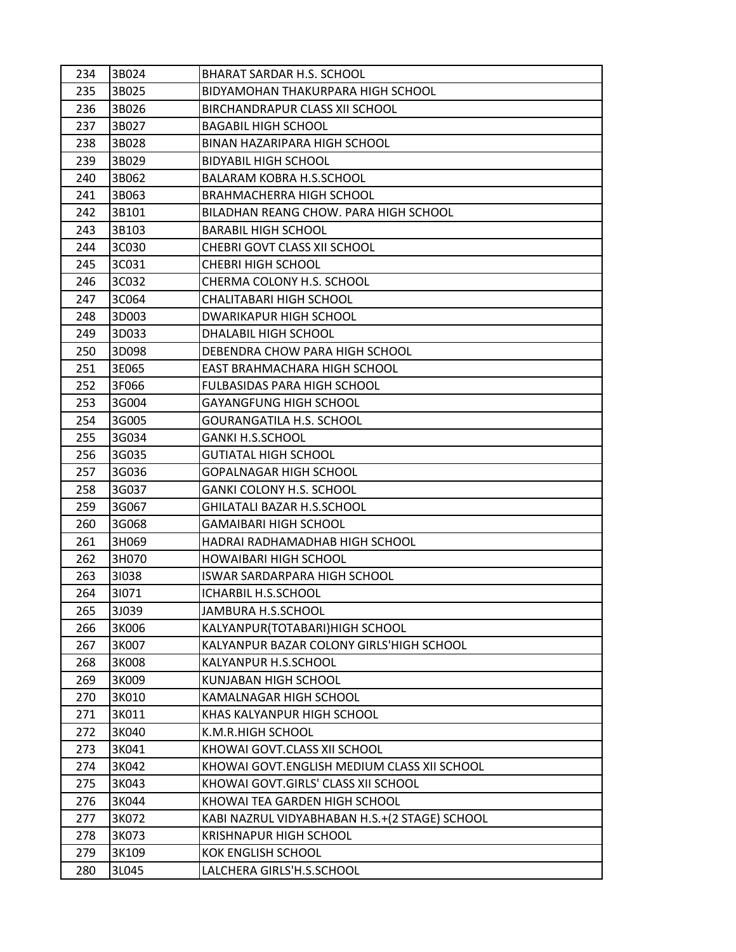| 234 | 3B024 | BHARAT SARDAR H.S. SCHOOL                     |
|-----|-------|-----------------------------------------------|
| 235 | 3B025 | BIDYAMOHAN THAKURPARA HIGH SCHOOL             |
| 236 | 3B026 | BIRCHANDRAPUR CLASS XII SCHOOL                |
| 237 | 3B027 | <b>BAGABIL HIGH SCHOOL</b>                    |
| 238 | 3B028 | BINAN HAZARIPARA HIGH SCHOOL                  |
| 239 | 3B029 | <b>BIDYABIL HIGH SCHOOL</b>                   |
| 240 | 3B062 | <b>BALARAM KOBRA H.S.SCHOOL</b>               |
| 241 | 3B063 | <b>BRAHMACHERRA HIGH SCHOOL</b>               |
| 242 | 3B101 | BILADHAN REANG CHOW. PARA HIGH SCHOOL         |
| 243 | 3B103 | <b>BARABIL HIGH SCHOOL</b>                    |
| 244 | 3C030 | CHEBRI GOVT CLASS XII SCHOOL                  |
| 245 | 3C031 | <b>CHEBRI HIGH SCHOOL</b>                     |
| 246 | 3C032 | CHERMA COLONY H.S. SCHOOL                     |
| 247 | 3C064 | CHALITABARI HIGH SCHOOL                       |
| 248 | 3D003 | DWARIKAPUR HIGH SCHOOL                        |
| 249 | 3D033 | DHALABIL HIGH SCHOOL                          |
| 250 | 3D098 | DEBENDRA CHOW PARA HIGH SCHOOL                |
| 251 | 3E065 | EAST BRAHMACHARA HIGH SCHOOL                  |
| 252 | 3F066 | <b>FULBASIDAS PARA HIGH SCHOOL</b>            |
| 253 | 3G004 | <b>GAYANGFUNG HIGH SCHOOL</b>                 |
| 254 | 3G005 | GOURANGATILA H.S. SCHOOL                      |
| 255 | 3G034 | <b>GANKI H.S.SCHOOL</b>                       |
| 256 | 3G035 | <b>GUTIATAL HIGH SCHOOL</b>                   |
| 257 | 3G036 | <b>GOPALNAGAR HIGH SCHOOL</b>                 |
| 258 | 3G037 | <b>GANKI COLONY H.S. SCHOOL</b>               |
| 259 | 3G067 | GHILATALI BAZAR H.S.SCHOOL                    |
| 260 | 3G068 | <b>GAMAIBARI HIGH SCHOOL</b>                  |
| 261 | 3H069 | HADRAI RADHAMADHAB HIGH SCHOOL                |
| 262 | 3H070 | <b>HOWAIBARI HIGH SCHOOL</b>                  |
| 263 | 31038 | <b>ISWAR SARDARPARA HIGH SCHOOL</b>           |
| 264 | 31071 | ICHARBIL H.S.SCHOOL                           |
| 265 | 3J039 | JAMBURA H.S.SCHOOL                            |
| 266 | 3K006 | KALYANPUR(TOTABARI)HIGH SCHOOL                |
| 267 | 3K007 | KALYANPUR BAZAR COLONY GIRLS'HIGH SCHOOL      |
| 268 | 3K008 | KALYANPUR H.S.SCHOOL                          |
| 269 | 3K009 | KUNJABAN HIGH SCHOOL                          |
| 270 | 3K010 | KAMALNAGAR HIGH SCHOOL                        |
| 271 | 3K011 | KHAS KALYANPUR HIGH SCHOOL                    |
| 272 | 3K040 | K.M.R.HIGH SCHOOL                             |
| 273 | 3K041 | KHOWAI GOVT.CLASS XII SCHOOL                  |
| 274 | 3K042 | KHOWAI GOVT.ENGLISH MEDIUM CLASS XII SCHOOL   |
| 275 | 3K043 | KHOWAI GOVT.GIRLS' CLASS XII SCHOOL           |
| 276 | 3K044 | KHOWAI TEA GARDEN HIGH SCHOOL                 |
| 277 | 3K072 | KABI NAZRUL VIDYABHABAN H.S.+(2 STAGE) SCHOOL |
| 278 | 3K073 | <b>KRISHNAPUR HIGH SCHOOL</b>                 |
| 279 | 3K109 | <b>KOK ENGLISH SCHOOL</b>                     |
| 280 | 3L045 | LALCHERA GIRLS'H.S.SCHOOL                     |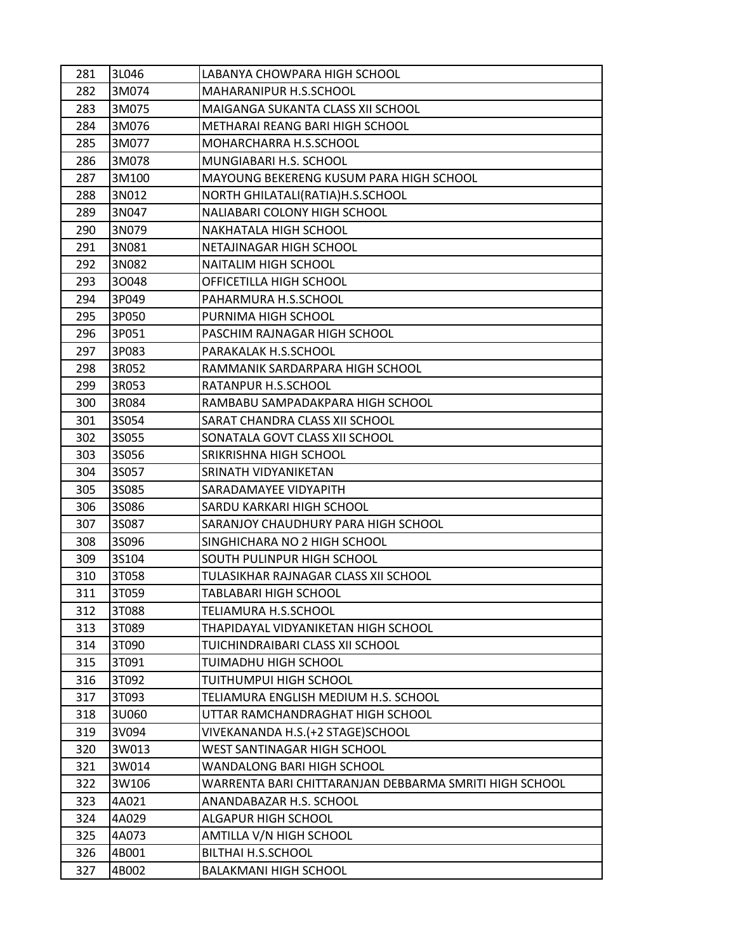| 281 | 3L046 | LABANYA CHOWPARA HIGH SCHOOL                           |
|-----|-------|--------------------------------------------------------|
| 282 | 3M074 | MAHARANIPUR H.S.SCHOOL                                 |
| 283 | 3M075 | MAIGANGA SUKANTA CLASS XII SCHOOL                      |
| 284 | 3M076 | METHARAI REANG BARI HIGH SCHOOL                        |
| 285 | 3M077 | MOHARCHARRA H.S.SCHOOL                                 |
| 286 | 3M078 | MUNGIABARI H.S. SCHOOL                                 |
| 287 | 3M100 | MAYOUNG BEKERENG KUSUM PARA HIGH SCHOOL                |
| 288 | 3N012 | NORTH GHILATALI(RATIA)H.S.SCHOOL                       |
| 289 | 3N047 | NALIABARI COLONY HIGH SCHOOL                           |
| 290 | 3N079 | NAKHATALA HIGH SCHOOL                                  |
| 291 | 3N081 | NETAJINAGAR HIGH SCHOOL                                |
| 292 | 3N082 | NAITALIM HIGH SCHOOL                                   |
| 293 | 30048 | OFFICETILLA HIGH SCHOOL                                |
| 294 | 3P049 | PAHARMURA H.S.SCHOOL                                   |
| 295 | 3P050 | PURNIMA HIGH SCHOOL                                    |
| 296 | 3P051 | PASCHIM RAJNAGAR HIGH SCHOOL                           |
| 297 | 3P083 | PARAKALAK H.S.SCHOOL                                   |
| 298 | 3R052 | RAMMANIK SARDARPARA HIGH SCHOOL                        |
| 299 | 3R053 | RATANPUR H.S.SCHOOL                                    |
| 300 | 3R084 | RAMBABU SAMPADAKPARA HIGH SCHOOL                       |
| 301 | 3S054 | SARAT CHANDRA CLASS XII SCHOOL                         |
| 302 | 3S055 | SONATALA GOVT CLASS XII SCHOOL                         |
| 303 | 3S056 | SRIKRISHNA HIGH SCHOOL                                 |
| 304 | 3S057 | SRINATH VIDYANIKETAN                                   |
| 305 | 3S085 | SARADAMAYEE VIDYAPITH                                  |
| 306 | 35086 | SARDU KARKARI HIGH SCHOOL                              |
| 307 | 3S087 | SARANJOY CHAUDHURY PARA HIGH SCHOOL                    |
| 308 | 35096 | SINGHICHARA NO 2 HIGH SCHOOL                           |
| 309 | 3S104 | SOUTH PULINPUR HIGH SCHOOL                             |
| 310 | 3T058 | TULASIKHAR RAJNAGAR CLASS XII SCHOOL                   |
| 311 | 3T059 | TABLABARI HIGH SCHOOL                                  |
| 312 | 3T088 | TELIAMURA H.S.SCHOOL                                   |
| 313 | 3T089 | THAPIDAYAL VIDYANIKETAN HIGH SCHOOL                    |
| 314 | 3T090 | TUICHINDRAIBARI CLASS XII SCHOOL                       |
| 315 | 3T091 | TUIMADHU HIGH SCHOOL                                   |
| 316 | 3T092 | TUITHUMPUI HIGH SCHOOL                                 |
| 317 | 3T093 | TELIAMURA ENGLISH MEDIUM H.S. SCHOOL                   |
| 318 | 3U060 | UTTAR RAMCHANDRAGHAT HIGH SCHOOL                       |
| 319 | 3V094 | VIVEKANANDA H.S. (+2 STAGE) SCHOOL                     |
| 320 | 3W013 | WEST SANTINAGAR HIGH SCHOOL                            |
| 321 | 3W014 | WANDALONG BARI HIGH SCHOOL                             |
| 322 | 3W106 | WARRENTA BARI CHITTARANJAN DEBBARMA SMRITI HIGH SCHOOL |
| 323 | 4A021 | ANANDABAZAR H.S. SCHOOL                                |
| 324 | 4A029 | ALGAPUR HIGH SCHOOL                                    |
| 325 | 4A073 | AMTILLA V/N HIGH SCHOOL                                |
| 326 | 4B001 | BILTHAI H.S.SCHOOL                                     |
| 327 | 4B002 | <b>BALAKMANI HIGH SCHOOL</b>                           |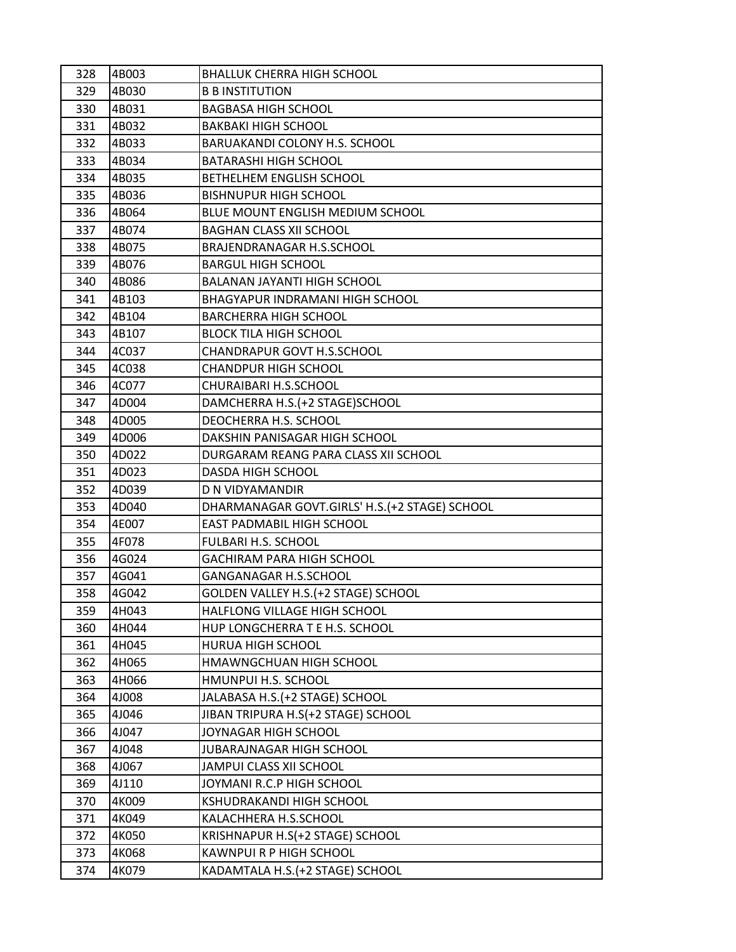| 328 | 4B003 | <b>BHALLUK CHERRA HIGH SCHOOL</b>              |
|-----|-------|------------------------------------------------|
| 329 | 4B030 | <b>B B INSTITUTION</b>                         |
| 330 | 4B031 | <b>BAGBASA HIGH SCHOOL</b>                     |
| 331 | 4B032 | <b>BAKBAKI HIGH SCHOOL</b>                     |
| 332 | 4B033 | <b>BARUAKANDI COLONY H.S. SCHOOL</b>           |
| 333 | 4B034 | <b>BATARASHI HIGH SCHOOL</b>                   |
| 334 | 4B035 | BETHELHEM ENGLISH SCHOOL                       |
| 335 | 4B036 | <b>BISHNUPUR HIGH SCHOOL</b>                   |
| 336 | 4B064 | BLUE MOUNT ENGLISH MEDIUM SCHOOL               |
| 337 | 4B074 | <b>BAGHAN CLASS XII SCHOOL</b>                 |
| 338 | 4B075 | BRAJENDRANAGAR H.S.SCHOOL                      |
| 339 | 4B076 | <b>BARGUL HIGH SCHOOL</b>                      |
| 340 | 4B086 | BALANAN JAYANTI HIGH SCHOOL                    |
| 341 | 4B103 | BHAGYAPUR INDRAMANI HIGH SCHOOL                |
| 342 | 4B104 | <b>BARCHERRA HIGH SCHOOL</b>                   |
| 343 | 4B107 | <b>BLOCK TILA HIGH SCHOOL</b>                  |
| 344 | 4C037 | CHANDRAPUR GOVT H.S.SCHOOL                     |
| 345 | 4C038 | <b>CHANDPUR HIGH SCHOOL</b>                    |
| 346 | 4C077 | CHURAIBARI H.S.SCHOOL                          |
| 347 | 4D004 | DAMCHERRA H.S. (+2 STAGE) SCHOOL               |
| 348 | 4D005 | DEOCHERRA H.S. SCHOOL                          |
| 349 | 4D006 | DAKSHIN PANISAGAR HIGH SCHOOL                  |
| 350 | 4D022 | DURGARAM REANG PARA CLASS XII SCHOOL           |
| 351 | 4D023 | DASDA HIGH SCHOOL                              |
| 352 | 4D039 | D N VIDYAMANDIR                                |
| 353 | 4D040 | DHARMANAGAR GOVT.GIRLS' H.S. (+2 STAGE) SCHOOL |
| 354 | 4E007 | EAST PADMABIL HIGH SCHOOL                      |
| 355 | 4F078 | FULBARI H.S. SCHOOL                            |
| 356 | 4G024 | <b>GACHIRAM PARA HIGH SCHOOL</b>               |
| 357 | 4G041 | GANGANAGAR H.S.SCHOOL                          |
| 358 | 4G042 | GOLDEN VALLEY H.S. (+2 STAGE) SCHOOL           |
| 359 | 4H043 | HALFLONG VILLAGE HIGH SCHOOL                   |
| 360 | 4H044 | HUP LONGCHERRA T E H.S. SCHOOL                 |
| 361 | 4H045 | HURUA HIGH SCHOOL                              |
| 362 | 4H065 | HMAWNGCHUAN HIGH SCHOOL                        |
| 363 | 4H066 | HMUNPUI H.S. SCHOOL                            |
| 364 | 4J008 | JALABASA H.S. (+2 STAGE) SCHOOL                |
| 365 | 4J046 | JIBAN TRIPURA H.S(+2 STAGE) SCHOOL             |
| 366 | 4J047 | JOYNAGAR HIGH SCHOOL                           |
| 367 | 4J048 | JUBARAJNAGAR HIGH SCHOOL                       |
| 368 | 4J067 | JAMPUI CLASS XII SCHOOL                        |
| 369 | 4J110 | JOYMANI R.C.P HIGH SCHOOL                      |
| 370 | 4K009 | <b>KSHUDRAKANDI HIGH SCHOOL</b>                |
| 371 | 4K049 | KALACHHERA H.S.SCHOOL                          |
| 372 | 4K050 | KRISHNAPUR H.S(+2 STAGE) SCHOOL                |
| 373 | 4K068 | KAWNPUI R P HIGH SCHOOL                        |
| 374 | 4K079 | KADAMTALA H.S. (+2 STAGE) SCHOOL               |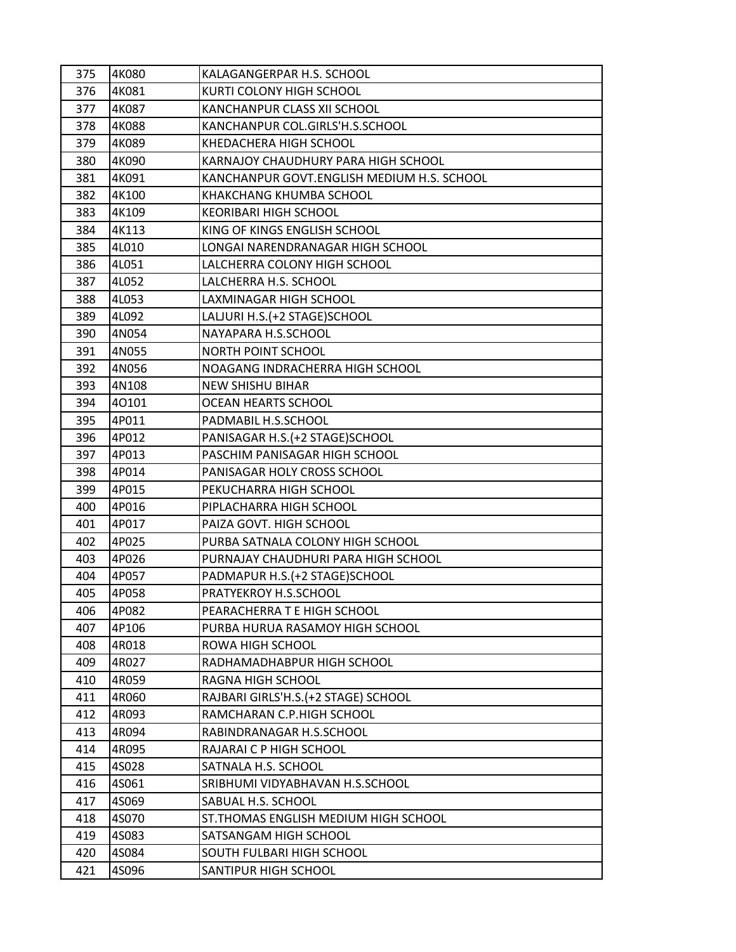| 375 | 4K080 | KALAGANGERPAR H.S. SCHOOL                  |
|-----|-------|--------------------------------------------|
| 376 | 4K081 | KURTI COLONY HIGH SCHOOL                   |
| 377 | 4K087 | KANCHANPUR CLASS XII SCHOOL                |
| 378 | 4K088 | KANCHANPUR COL.GIRLS'H.S.SCHOOL            |
| 379 | 4K089 | KHEDACHERA HIGH SCHOOL                     |
| 380 | 4K090 | KARNAJOY CHAUDHURY PARA HIGH SCHOOL        |
| 381 | 4K091 | KANCHANPUR GOVT.ENGLISH MEDIUM H.S. SCHOOL |
| 382 | 4K100 | KHAKCHANG KHUMBA SCHOOL                    |
| 383 | 4K109 | <b>KEORIBARI HIGH SCHOOL</b>               |
| 384 | 4K113 | KING OF KINGS ENGLISH SCHOOL               |
| 385 | 4L010 | LONGAI NARENDRANAGAR HIGH SCHOOL           |
| 386 | 4L051 | LALCHERRA COLONY HIGH SCHOOL               |
| 387 | 4L052 | LALCHERRA H.S. SCHOOL                      |
| 388 | 4L053 | LAXMINAGAR HIGH SCHOOL                     |
| 389 | 4L092 | LALJURI H.S. (+2 STAGE) SCHOOL             |
| 390 | 4N054 | NAYAPARA H.S.SCHOOL                        |
| 391 | 4N055 | NORTH POINT SCHOOL                         |
| 392 | 4N056 | NOAGANG INDRACHERRA HIGH SCHOOL            |
| 393 | 4N108 | <b>NEW SHISHU BIHAR</b>                    |
| 394 | 40101 | <b>OCEAN HEARTS SCHOOL</b>                 |
| 395 | 4P011 | PADMABIL H.S.SCHOOL                        |
| 396 | 4P012 | PANISAGAR H.S.(+2 STAGE)SCHOOL             |
| 397 | 4P013 | PASCHIM PANISAGAR HIGH SCHOOL              |
| 398 | 4P014 | PANISAGAR HOLY CROSS SCHOOL                |
| 399 | 4P015 | PEKUCHARRA HIGH SCHOOL                     |
| 400 | 4P016 | PIPLACHARRA HIGH SCHOOL                    |
| 401 | 4P017 | PAIZA GOVT. HIGH SCHOOL                    |
| 402 | 4P025 | PURBA SATNALA COLONY HIGH SCHOOL           |
| 403 | 4P026 | PURNAJAY CHAUDHURI PARA HIGH SCHOOL        |
| 404 | 4P057 | PADMAPUR H.S. (+2 STAGE) SCHOOL            |
| 405 | 4P058 | PRATYEKROY H.S.SCHOOL                      |
| 406 | 4P082 | PEARACHERRA T E HIGH SCHOOL                |
| 407 | 4P106 | PURBA HURUA RASAMOY HIGH SCHOOL            |
| 408 | 4R018 | ROWA HIGH SCHOOL                           |
| 409 | 4R027 | RADHAMADHABPUR HIGH SCHOOL                 |
| 410 | 4R059 | RAGNA HIGH SCHOOL                          |
| 411 | 4R060 | RAJBARI GIRLS'H.S.(+2 STAGE) SCHOOL        |
| 412 | 4R093 | RAMCHARAN C.P.HIGH SCHOOL                  |
| 413 | 4R094 | RABINDRANAGAR H.S.SCHOOL                   |
| 414 | 4R095 | RAJARAI C P HIGH SCHOOL                    |
| 415 | 4S028 | SATNALA H.S. SCHOOL                        |
| 416 | 4S061 | SRIBHUMI VIDYABHAVAN H.S.SCHOOL            |
| 417 | 4S069 | SABUAL H.S. SCHOOL                         |
| 418 | 4S070 | ST. THOMAS ENGLISH MEDIUM HIGH SCHOOL      |
| 419 | 4S083 | SATSANGAM HIGH SCHOOL                      |
| 420 | 4S084 | SOUTH FULBARI HIGH SCHOOL                  |
| 421 | 4S096 | SANTIPUR HIGH SCHOOL                       |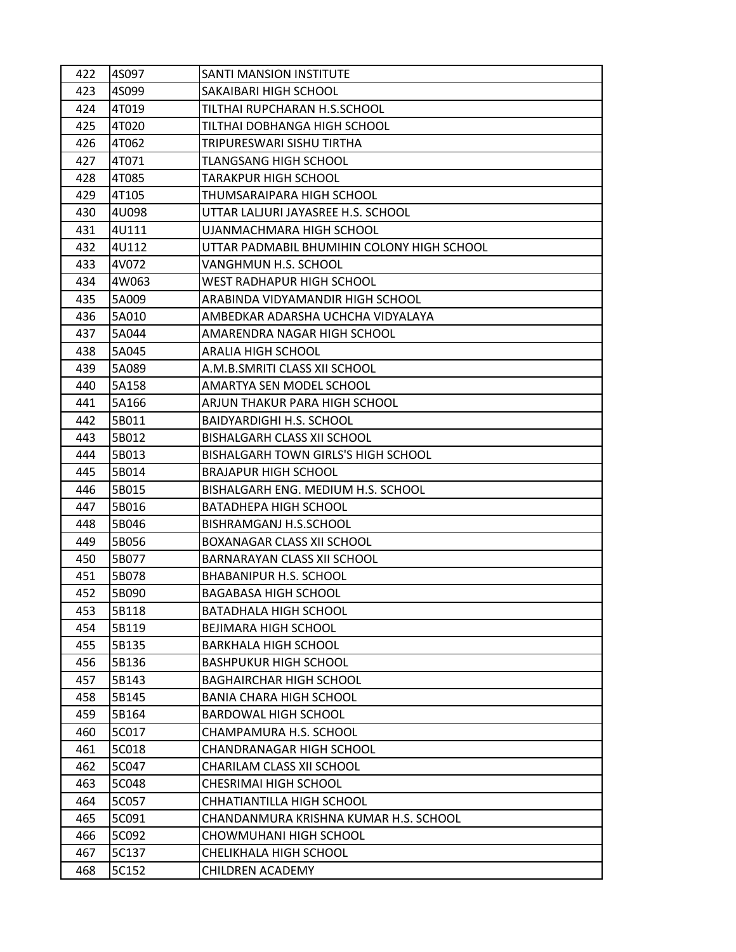| 422 | 4S097 | SANTI MANSION INSTITUTE                    |
|-----|-------|--------------------------------------------|
| 423 | 4S099 | SAKAIBARI HIGH SCHOOL                      |
| 424 | 4T019 | TILTHAI RUPCHARAN H.S.SCHOOL               |
| 425 | 4T020 | TILTHAI DOBHANGA HIGH SCHOOL               |
| 426 | 4T062 | TRIPURESWARI SISHU TIRTHA                  |
| 427 | 4T071 | TLANGSANG HIGH SCHOOL                      |
| 428 | 4T085 | <b>TARAKPUR HIGH SCHOOL</b>                |
| 429 | 4T105 | THUMSARAIPARA HIGH SCHOOL                  |
| 430 | 4U098 | UTTAR LALJURI JAYASREE H.S. SCHOOL         |
| 431 | 4U111 | UJANMACHMARA HIGH SCHOOL                   |
| 432 | 4U112 | UTTAR PADMABIL BHUMIHIN COLONY HIGH SCHOOL |
| 433 | 4V072 | VANGHMUN H.S. SCHOOL                       |
| 434 | 4W063 | <b>WEST RADHAPUR HIGH SCHOOL</b>           |
| 435 | 5A009 | ARABINDA VIDYAMANDIR HIGH SCHOOL           |
| 436 | 5A010 | AMBEDKAR ADARSHA UCHCHA VIDYALAYA          |
| 437 | 5A044 | AMARENDRA NAGAR HIGH SCHOOL                |
| 438 | 5A045 | <b>ARALIA HIGH SCHOOL</b>                  |
| 439 | 5A089 | A.M.B.SMRITI CLASS XII SCHOOL              |
| 440 | 5A158 | AMARTYA SEN MODEL SCHOOL                   |
| 441 | 5A166 | ARJUN THAKUR PARA HIGH SCHOOL              |
| 442 | 5B011 | <b>BAIDYARDIGHI H.S. SCHOOL</b>            |
| 443 | 5B012 | BISHALGARH CLASS XII SCHOOL                |
| 444 | 5B013 | <b>BISHALGARH TOWN GIRLS'S HIGH SCHOOL</b> |
| 445 | 5B014 | <b>BRAJAPUR HIGH SCHOOL</b>                |
| 446 | 5B015 | BISHALGARH ENG. MEDIUM H.S. SCHOOL         |
| 447 | 5B016 | BATADHEPA HIGH SCHOOL                      |
| 448 | 5B046 | BISHRAMGANJ H.S.SCHOOL                     |
| 449 | 5B056 | BOXANAGAR CLASS XII SCHOOL                 |
| 450 | 5B077 | BARNARAYAN CLASS XII SCHOOL                |
| 451 | 5B078 | <b>BHABANIPUR H.S. SCHOOL</b>              |
| 452 | 5B090 | BAGABASA HIGH SCHOOL                       |
| 453 | 5B118 | <b>BATADHALA HIGH SCHOOL</b>               |
| 454 | 5B119 | <b>BEJIMARA HIGH SCHOOL</b>                |
| 455 | 5B135 | <b>BARKHALA HIGH SCHOOL</b>                |
| 456 | 5B136 | <b>BASHPUKUR HIGH SCHOOL</b>               |
| 457 | 5B143 | <b>BAGHAIRCHAR HIGH SCHOOL</b>             |
| 458 | 5B145 | <b>BANIA CHARA HIGH SCHOOL</b>             |
| 459 | 5B164 | <b>BARDOWAL HIGH SCHOOL</b>                |
| 460 | 5C017 | CHAMPAMURA H.S. SCHOOL                     |
| 461 | 5C018 | <b>CHANDRANAGAR HIGH SCHOOL</b>            |
| 462 | 5C047 | CHARILAM CLASS XII SCHOOL                  |
| 463 | 5C048 | CHESRIMAI HIGH SCHOOL                      |
| 464 | 5C057 | CHHATIANTILLA HIGH SCHOOL                  |
| 465 | 5C091 | CHANDANMURA KRISHNA KUMAR H.S. SCHOOL      |
| 466 | 5C092 | CHOWMUHANI HIGH SCHOOL                     |
| 467 | 5C137 | CHELIKHALA HIGH SCHOOL                     |
| 468 | 5C152 | CHILDREN ACADEMY                           |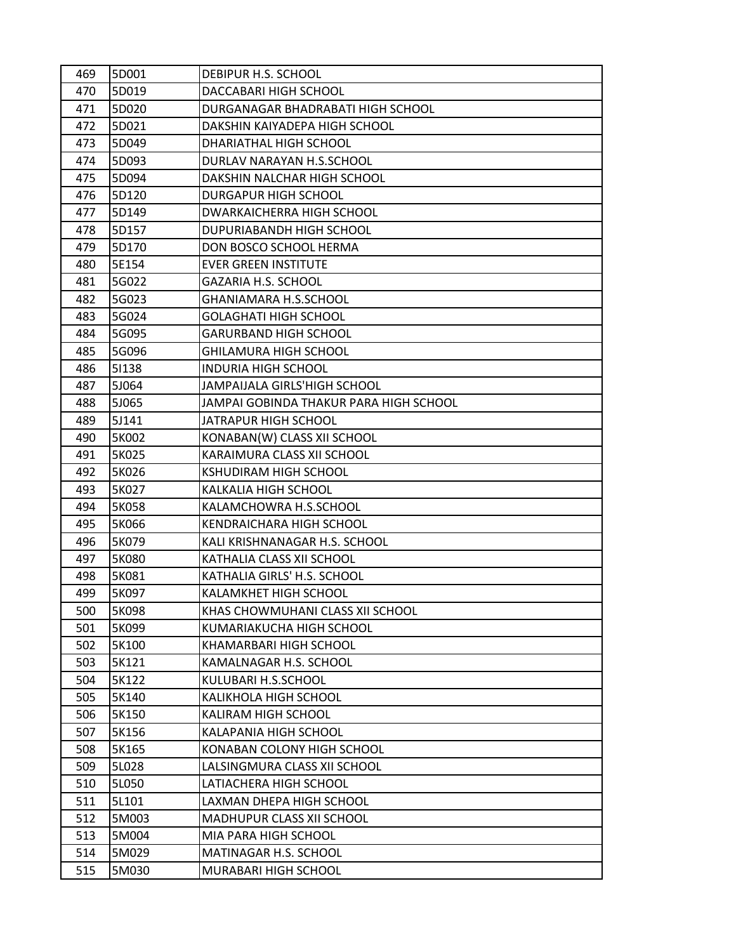| 469 | 5D001 | DEBIPUR H.S. SCHOOL                    |
|-----|-------|----------------------------------------|
| 470 | 5D019 | DACCABARI HIGH SCHOOL                  |
| 471 | 5D020 | DURGANAGAR BHADRABATI HIGH SCHOOL      |
| 472 | 5D021 | DAKSHIN KAIYADEPA HIGH SCHOOL          |
| 473 | 5D049 | DHARIATHAL HIGH SCHOOL                 |
| 474 | 5D093 | DURLAV NARAYAN H.S.SCHOOL              |
| 475 | 5D094 | DAKSHIN NALCHAR HIGH SCHOOL            |
| 476 | 5D120 | <b>DURGAPUR HIGH SCHOOL</b>            |
| 477 | 5D149 | DWARKAICHERRA HIGH SCHOOL              |
| 478 | 5D157 | DUPURIABANDH HIGH SCHOOL               |
| 479 | 5D170 | DON BOSCO SCHOOL HERMA                 |
| 480 | 5E154 | <b>EVER GREEN INSTITUTE</b>            |
| 481 | 5G022 | <b>GAZARIA H.S. SCHOOL</b>             |
| 482 | 5G023 | <b>GHANIAMARA H.S.SCHOOL</b>           |
| 483 | 5G024 | <b>GOLAGHATI HIGH SCHOOL</b>           |
| 484 | 5G095 | <b>GARURBAND HIGH SCHOOL</b>           |
| 485 | 5G096 | <b>GHILAMURA HIGH SCHOOL</b>           |
| 486 | 51138 | <b>INDURIA HIGH SCHOOL</b>             |
| 487 | 5J064 | JAMPAIJALA GIRLS'HIGH SCHOOL           |
| 488 | 5J065 | JAMPAI GOBINDA THAKUR PARA HIGH SCHOOL |
| 489 | 5J141 | JATRAPUR HIGH SCHOOL                   |
| 490 | 5K002 | KONABAN(W) CLASS XII SCHOOL            |
| 491 | 5K025 | KARAIMURA CLASS XII SCHOOL             |
| 492 | 5K026 | <b>KSHUDIRAM HIGH SCHOOL</b>           |
| 493 | 5K027 | KALKALIA HIGH SCHOOL                   |
| 494 | 5K058 | KALAMCHOWRA H.S.SCHOOL                 |
| 495 | 5K066 | KENDRAICHARA HIGH SCHOOL               |
| 496 | 5K079 | KALI KRISHNANAGAR H.S. SCHOOL          |
| 497 | 5K080 | KATHALIA CLASS XII SCHOOL              |
| 498 | 5K081 | KATHALIA GIRLS' H.S. SCHOOL            |
| 499 | 5K097 | KALAMKHET HIGH SCHOOL                  |
| 500 | 5K098 | KHAS CHOWMUHANI CLASS XII SCHOOL       |
| 501 | 5K099 | KUMARIAKUCHA HIGH SCHOOL               |
| 502 | 5K100 | KHAMARBARI HIGH SCHOOL                 |
| 503 | 5K121 | KAMALNAGAR H.S. SCHOOL                 |
| 504 | 5K122 | KULUBARI H.S.SCHOOL                    |
| 505 | 5K140 | KALIKHOLA HIGH SCHOOL                  |
| 506 | 5K150 | KALIRAM HIGH SCHOOL                    |
| 507 | 5K156 | KALAPANIA HIGH SCHOOL                  |
| 508 | 5K165 | KONABAN COLONY HIGH SCHOOL             |
| 509 | 5L028 | LALSINGMURA CLASS XII SCHOOL           |
| 510 | 5L050 | LATIACHERA HIGH SCHOOL                 |
| 511 | 5L101 | LAXMAN DHEPA HIGH SCHOOL               |
| 512 | 5M003 | MADHUPUR CLASS XII SCHOOL              |
| 513 | 5M004 | MIA PARA HIGH SCHOOL                   |
| 514 | 5M029 | MATINAGAR H.S. SCHOOL                  |
| 515 | 5M030 | MURABARI HIGH SCHOOL                   |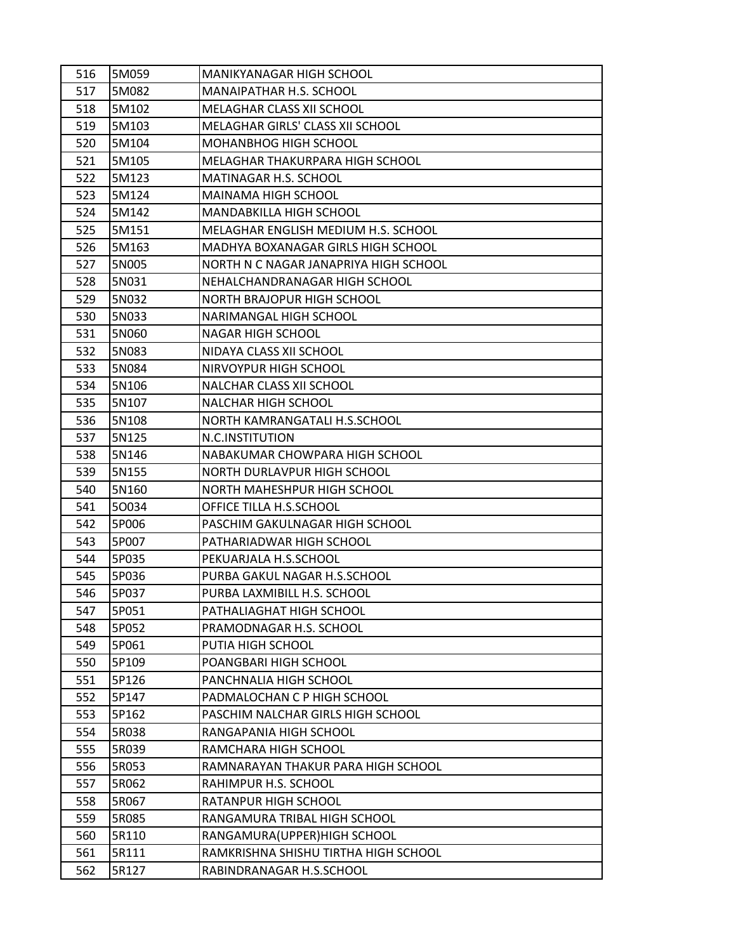| 516        | 5M059          | <b>MANIKYANAGAR HIGH SCHOOL</b>                       |
|------------|----------------|-------------------------------------------------------|
| 517        | 5M082          | MANAIPATHAR H.S. SCHOOL                               |
| 518        | 5M102          | MELAGHAR CLASS XII SCHOOL                             |
| 519        | 5M103          | MELAGHAR GIRLS' CLASS XII SCHOOL                      |
| 520        | 5M104          | MOHANBHOG HIGH SCHOOL                                 |
| 521        | 5M105          | MELAGHAR THAKURPARA HIGH SCHOOL                       |
| 522        | 5M123          | MATINAGAR H.S. SCHOOL                                 |
| 523        | 5M124          | MAINAMA HIGH SCHOOL                                   |
| 524        | 5M142          | MANDABKILLA HIGH SCHOOL                               |
| 525        | 5M151          | MELAGHAR ENGLISH MEDIUM H.S. SCHOOL                   |
| 526        | 5M163          | MADHYA BOXANAGAR GIRLS HIGH SCHOOL                    |
| 527        | 5N005          | NORTH N C NAGAR JANAPRIYA HIGH SCHOOL                 |
| 528        | 5N031          | NEHALCHANDRANAGAR HIGH SCHOOL                         |
| 529        | 5N032          | NORTH BRAJOPUR HIGH SCHOOL                            |
| 530        | 5N033          | NARIMANGAL HIGH SCHOOL                                |
| 531        | 5N060          | <b>NAGAR HIGH SCHOOL</b>                              |
| 532        | 5N083          | NIDAYA CLASS XII SCHOOL                               |
| 533        | 5N084          | NIRVOYPUR HIGH SCHOOL                                 |
| 534        | 5N106          | NALCHAR CLASS XII SCHOOL                              |
| 535        | 5N107          | <b>NALCHAR HIGH SCHOOL</b>                            |
| 536        | 5N108          | NORTH KAMRANGATALI H.S.SCHOOL                         |
| 537        | 5N125          | N.C.INSTITUTION                                       |
| 538        | 5N146          | NABAKUMAR CHOWPARA HIGH SCHOOL                        |
| 539        | 5N155          | NORTH DURLAVPUR HIGH SCHOOL                           |
| 540        | 5N160          | NORTH MAHESHPUR HIGH SCHOOL                           |
| 541        | 50034          | OFFICE TILLA H.S.SCHOOL                               |
| 542        | 5P006          | PASCHIM GAKULNAGAR HIGH SCHOOL                        |
| 543        | 5P007          | PATHARIADWAR HIGH SCHOOL                              |
| 544        | 5P035          | PEKUARJALA H.S.SCHOOL                                 |
| 545        | 5P036          | PURBA GAKUL NAGAR H.S.SCHOOL                          |
| 546        | 5P037          | PURBA LAXMIBILL H.S. SCHOOL                           |
| 547        | 5P051          | PATHALIAGHAT HIGH SCHOOL                              |
| 548        | 5P052          | PRAMODNAGAR H.S. SCHOOL                               |
| 549        | 5P061          | PUTIA HIGH SCHOOL                                     |
| 550        | 5P109          | POANGBARI HIGH SCHOOL                                 |
| 551<br>552 | 5P126<br>5P147 | PANCHNALIA HIGH SCHOOL<br>PADMALOCHAN C P HIGH SCHOOL |
| 553        | 5P162          | PASCHIM NALCHAR GIRLS HIGH SCHOOL                     |
| 554        | 5R038          | RANGAPANIA HIGH SCHOOL                                |
| 555        | 5R039          | RAMCHARA HIGH SCHOOL                                  |
| 556        | 5R053          | RAMNARAYAN THAKUR PARA HIGH SCHOOL                    |
| 557        | 5R062          | RAHIMPUR H.S. SCHOOL                                  |
| 558        | 5R067          | RATANPUR HIGH SCHOOL                                  |
| 559        | 5R085          | RANGAMURA TRIBAL HIGH SCHOOL                          |
|            |                |                                                       |
| 560<br>561 | 5R110<br>5R111 | RANGAMURA(UPPER)HIGH SCHOOL                           |
| 562        | 5R127          | RAMKRISHNA SHISHU TIRTHA HIGH SCHOOL                  |
|            |                | RABINDRANAGAR H.S.SCHOOL                              |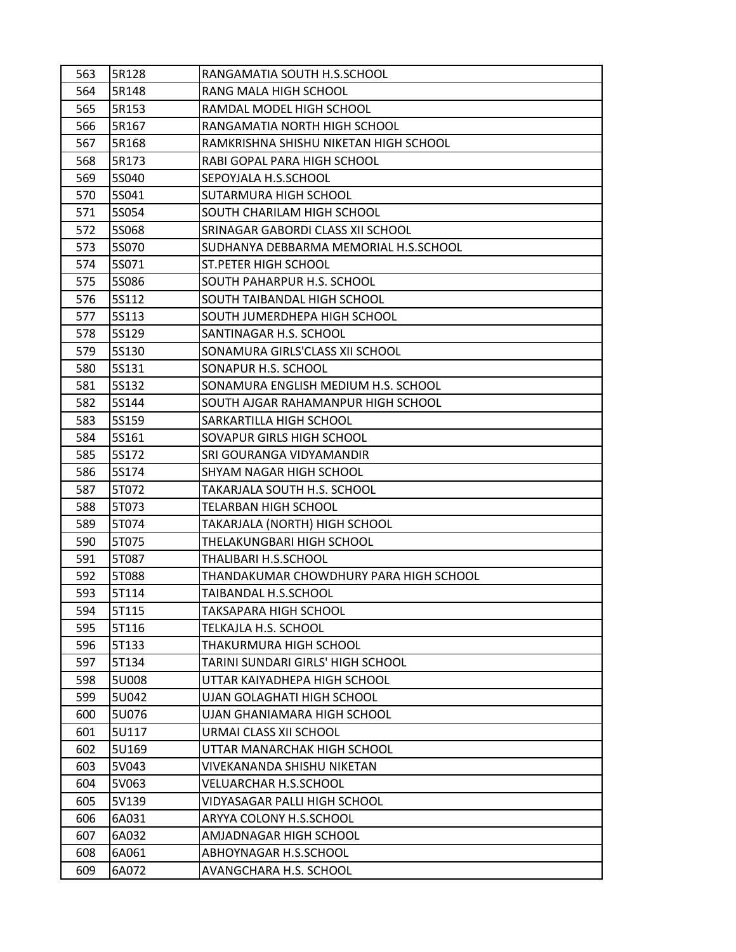| 563 | 5R128 | RANGAMATIA SOUTH H.S.SCHOOL            |
|-----|-------|----------------------------------------|
| 564 | 5R148 | RANG MALA HIGH SCHOOL                  |
| 565 | 5R153 | RAMDAL MODEL HIGH SCHOOL               |
| 566 | 5R167 | RANGAMATIA NORTH HIGH SCHOOL           |
| 567 | 5R168 | RAMKRISHNA SHISHU NIKETAN HIGH SCHOOL  |
| 568 | 5R173 | RABI GOPAL PARA HIGH SCHOOL            |
| 569 | 5S040 | SEPOYJALA H.S.SCHOOL                   |
| 570 | 5S041 | SUTARMURA HIGH SCHOOL                  |
| 571 | 5S054 | SOUTH CHARILAM HIGH SCHOOL             |
| 572 | 55068 | SRINAGAR GABORDI CLASS XII SCHOOL      |
| 573 | 5S070 | SUDHANYA DEBBARMA MEMORIAL H.S.SCHOOL  |
| 574 | 5S071 | <b>ST.PETER HIGH SCHOOL</b>            |
| 575 | 55086 | SOUTH PAHARPUR H.S. SCHOOL             |
| 576 | 5S112 | SOUTH TAIBANDAL HIGH SCHOOL            |
| 577 | 5S113 | SOUTH JUMERDHEPA HIGH SCHOOL           |
| 578 | 5S129 | SANTINAGAR H.S. SCHOOL                 |
| 579 | 55130 | SONAMURA GIRLS'CLASS XII SCHOOL        |
| 580 | 5S131 | SONAPUR H.S. SCHOOL                    |
| 581 | 5S132 | SONAMURA ENGLISH MEDIUM H.S. SCHOOL    |
| 582 | 5S144 | SOUTH AJGAR RAHAMANPUR HIGH SCHOOL     |
| 583 | 5S159 | SARKARTILLA HIGH SCHOOL                |
| 584 | 5S161 | SOVAPUR GIRLS HIGH SCHOOL              |
| 585 | 5S172 | SRI GOURANGA VIDYAMANDIR               |
| 586 | 5S174 | SHYAM NAGAR HIGH SCHOOL                |
| 587 | 5T072 | TAKARJALA SOUTH H.S. SCHOOL            |
| 588 | 5T073 | TELARBAN HIGH SCHOOL                   |
| 589 | 5T074 | TAKARJALA (NORTH) HIGH SCHOOL          |
| 590 | 5T075 | THELAKUNGBARI HIGH SCHOOL              |
| 591 | 5T087 | THALIBARI H.S.SCHOOL                   |
| 592 | 5T088 | THANDAKUMAR CHOWDHURY PARA HIGH SCHOOL |
| 593 | 5T114 | TAIBANDAL H.S.SCHOOL                   |
| 594 | 5T115 | TAKSAPARA HIGH SCHOOL                  |
| 595 | 5T116 | TELKAJLA H.S. SCHOOL                   |
| 596 | 5T133 | THAKURMURA HIGH SCHOOL                 |
| 597 | 5T134 | TARINI SUNDARI GIRLS' HIGH SCHOOL      |
| 598 | 5U008 | UTTAR KAIYADHEPA HIGH SCHOOL           |
| 599 | 5U042 | UJAN GOLAGHATI HIGH SCHOOL             |
| 600 | 5U076 | UJAN GHANIAMARA HIGH SCHOOL            |
| 601 | 5U117 | URMAI CLASS XII SCHOOL                 |
| 602 | 5U169 | UTTAR MANARCHAK HIGH SCHOOL            |
| 603 | 5V043 | VIVEKANANDA SHISHU NIKETAN             |
| 604 | 5V063 | VELUARCHAR H.S.SCHOOL                  |
| 605 | 5V139 | VIDYASAGAR PALLI HIGH SCHOOL           |
| 606 | 6A031 | ARYYA COLONY H.S.SCHOOL                |
| 607 | 6A032 | AMJADNAGAR HIGH SCHOOL                 |
| 608 | 6A061 | ABHOYNAGAR H.S.SCHOOL                  |
| 609 | 6A072 | AVANGCHARA H.S. SCHOOL                 |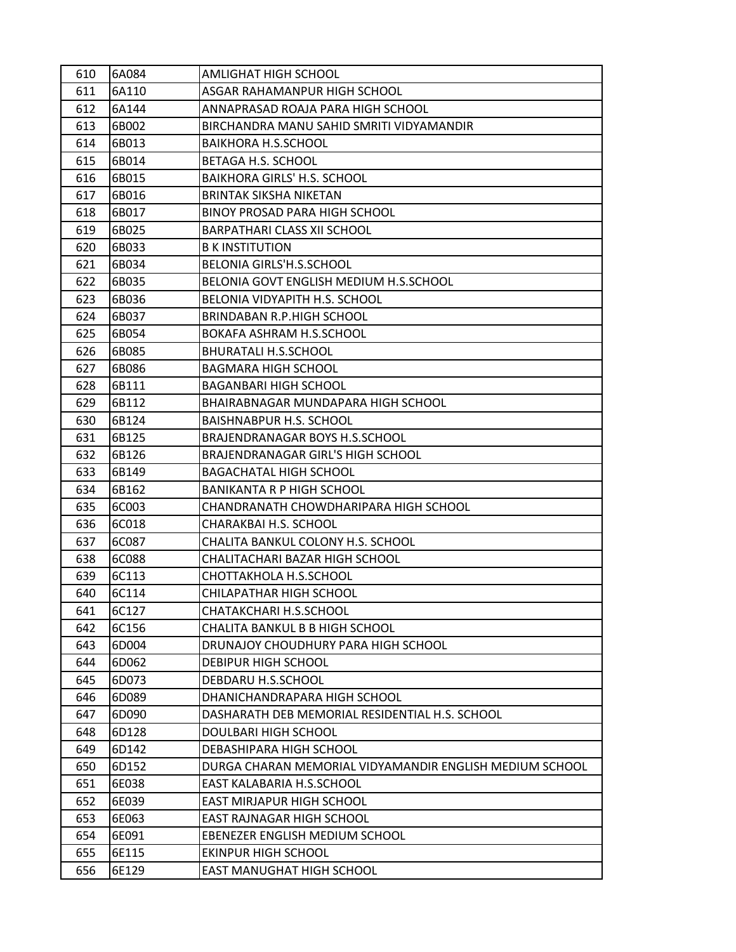| 610 | 6A084 | AMLIGHAT HIGH SCHOOL                                    |
|-----|-------|---------------------------------------------------------|
| 611 | 6A110 | ASGAR RAHAMANPUR HIGH SCHOOL                            |
| 612 | 6A144 | ANNAPRASAD ROAJA PARA HIGH SCHOOL                       |
| 613 | 6B002 | BIRCHANDRA MANU SAHID SMRITI VIDYAMANDIR                |
| 614 | 6B013 | BAIKHORA H.S.SCHOOL                                     |
| 615 | 6B014 | BETAGA H.S. SCHOOL                                      |
| 616 | 6B015 | <b>BAIKHORA GIRLS' H.S. SCHOOL</b>                      |
| 617 | 6B016 | <b>BRINTAK SIKSHA NIKETAN</b>                           |
| 618 | 6B017 | BINOY PROSAD PARA HIGH SCHOOL                           |
| 619 | 6B025 | <b>BARPATHARI CLASS XII SCHOOL</b>                      |
| 620 | 6B033 | <b>B K INSTITUTION</b>                                  |
| 621 | 6B034 | BELONIA GIRLS'H.S.SCHOOL                                |
| 622 | 6B035 | BELONIA GOVT ENGLISH MEDIUM H.S.SCHOOL                  |
| 623 | 6B036 | BELONIA VIDYAPITH H.S. SCHOOL                           |
| 624 | 6B037 | BRINDABAN R.P.HIGH SCHOOL                               |
| 625 | 6B054 | BOKAFA ASHRAM H.S.SCHOOL                                |
| 626 | 6B085 | <b>BHURATALI H.S.SCHOOL</b>                             |
| 627 | 6B086 | <b>BAGMARA HIGH SCHOOL</b>                              |
| 628 | 6B111 | <b>BAGANBARI HIGH SCHOOL</b>                            |
| 629 | 6B112 | BHAIRABNAGAR MUNDAPARA HIGH SCHOOL                      |
| 630 | 6B124 | <b>BAISHNABPUR H.S. SCHOOL</b>                          |
| 631 | 6B125 | BRAJENDRANAGAR BOYS H.S.SCHOOL                          |
| 632 | 6B126 | BRAJENDRANAGAR GIRL'S HIGH SCHOOL                       |
| 633 | 6B149 | <b>BAGACHATAL HIGH SCHOOL</b>                           |
| 634 | 6B162 | <b>BANIKANTA R P HIGH SCHOOL</b>                        |
| 635 | 6C003 | CHANDRANATH CHOWDHARIPARA HIGH SCHOOL                   |
| 636 | 6C018 | CHARAKBAI H.S. SCHOOL                                   |
| 637 | 6C087 | CHALITA BANKUL COLONY H.S. SCHOOL                       |
| 638 | 6C088 | CHALITACHARI BAZAR HIGH SCHOOL                          |
| 639 | 6C113 | CHOTTAKHOLA H.S.SCHOOL                                  |
| 640 | 6C114 | CHILAPATHAR HIGH SCHOOL                                 |
| 641 | 6C127 | CHATAKCHARI H.S.SCHOOL                                  |
| 642 | 6C156 | CHALITA BANKUL B B HIGH SCHOOL                          |
| 643 | 6D004 | DRUNAJOY CHOUDHURY PARA HIGH SCHOOL                     |
| 644 | 6D062 | DEBIPUR HIGH SCHOOL                                     |
| 645 | 6D073 | DEBDARU H.S.SCHOOL                                      |
| 646 | 6D089 | DHANICHANDRAPARA HIGH SCHOOL                            |
| 647 | 6D090 | DASHARATH DEB MEMORIAL RESIDENTIAL H.S. SCHOOL          |
| 648 | 6D128 | DOULBARI HIGH SCHOOL                                    |
| 649 | 6D142 | DEBASHIPARA HIGH SCHOOL                                 |
| 650 | 6D152 | DURGA CHARAN MEMORIAL VIDYAMANDIR ENGLISH MEDIUM SCHOOL |
| 651 | 6E038 | EAST KALABARIA H.S.SCHOOL                               |
| 652 | 6E039 | EAST MIRJAPUR HIGH SCHOOL                               |
| 653 | 6E063 | EAST RAJNAGAR HIGH SCHOOL                               |
| 654 | 6E091 | EBENEZER ENGLISH MEDIUM SCHOOL                          |
| 655 | 6E115 | <b>EKINPUR HIGH SCHOOL</b>                              |
| 656 | 6E129 | EAST MANUGHAT HIGH SCHOOL                               |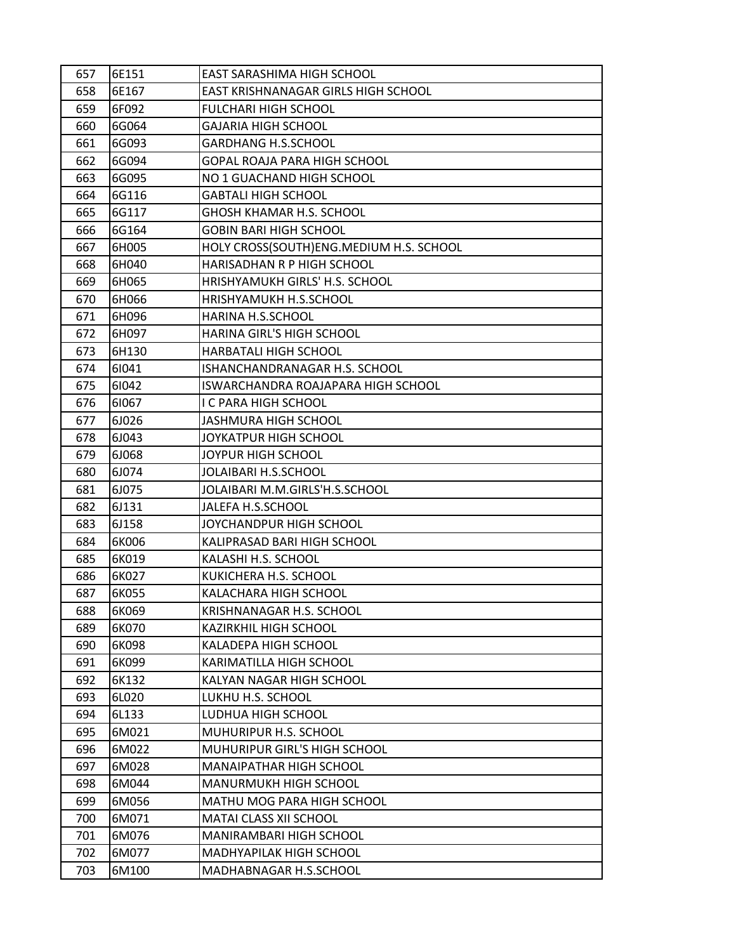| 657 | 6E151 | EAST SARASHIMA HIGH SCHOOL              |
|-----|-------|-----------------------------------------|
| 658 | 6E167 | EAST KRISHNANAGAR GIRLS HIGH SCHOOL     |
| 659 | 6F092 | <b>FULCHARI HIGH SCHOOL</b>             |
| 660 | 6G064 | <b>GAJARIA HIGH SCHOOL</b>              |
| 661 | 6G093 | <b>GARDHANG H.S.SCHOOL</b>              |
| 662 | 6G094 | GOPAL ROAJA PARA HIGH SCHOOL            |
| 663 | 6G095 | NO 1 GUACHAND HIGH SCHOOL               |
| 664 | 6G116 | <b>GABTALI HIGH SCHOOL</b>              |
| 665 | 6G117 | <b>GHOSH KHAMAR H.S. SCHOOL</b>         |
| 666 | 6G164 | <b>GOBIN BARI HIGH SCHOOL</b>           |
| 667 | 6H005 | HOLY CROSS(SOUTH)ENG.MEDIUM H.S. SCHOOL |
| 668 | 6H040 | HARISADHAN R P HIGH SCHOOL              |
| 669 | 6H065 | HRISHYAMUKH GIRLS' H.S. SCHOOL          |
| 670 | 6H066 | HRISHYAMUKH H.S.SCHOOL                  |
| 671 | 6H096 | HARINA H.S.SCHOOL                       |
| 672 | 6H097 | HARINA GIRL'S HIGH SCHOOL               |
| 673 | 6H130 | HARBATALI HIGH SCHOOL                   |
| 674 | 61041 | ISHANCHANDRANAGAR H.S. SCHOOL           |
| 675 | 61042 | ISWARCHANDRA ROAJAPARA HIGH SCHOOL      |
| 676 | 61067 | <b>I C PARA HIGH SCHOOL</b>             |
| 677 | 6J026 | JASHMURA HIGH SCHOOL                    |
| 678 | 6J043 | JOYKATPUR HIGH SCHOOL                   |
| 679 | 6J068 | JOYPUR HIGH SCHOOL                      |
| 680 | 6J074 | JOLAIBARI H.S.SCHOOL                    |
| 681 | 6J075 | JOLAIBARI M.M.GIRLS'H.S.SCHOOL          |
| 682 | 6J131 | JALEFA H.S.SCHOOL                       |
| 683 | 6J158 | JOYCHANDPUR HIGH SCHOOL                 |
| 684 | 6K006 | KALIPRASAD BARI HIGH SCHOOL             |
| 685 | 6K019 | KALASHI H.S. SCHOOL                     |
| 686 | 6K027 | KUKICHERA H.S. SCHOOL                   |
| 687 | 6K055 | KALACHARA HIGH SCHOOL                   |
| 688 | 6K069 | KRISHNANAGAR H.S. SCHOOL                |
| 689 | 6K070 | <b>KAZIRKHIL HIGH SCHOOL</b>            |
| 690 | 6K098 | KALADEPA HIGH SCHOOL                    |
| 691 | 6K099 | KARIMATILLA HIGH SCHOOL                 |
| 692 | 6K132 | KALYAN NAGAR HIGH SCHOOL                |
| 693 | 6L020 | LUKHU H.S. SCHOOL                       |
| 694 | 6L133 | LUDHUA HIGH SCHOOL                      |
| 695 | 6M021 | MUHURIPUR H.S. SCHOOL                   |
| 696 | 6M022 | MUHURIPUR GIRL'S HIGH SCHOOL            |
| 697 | 6M028 | MANAIPATHAR HIGH SCHOOL                 |
| 698 | 6M044 | MANURMUKH HIGH SCHOOL                   |
| 699 | 6M056 | MATHU MOG PARA HIGH SCHOOL              |
| 700 | 6M071 | MATAI CLASS XII SCHOOL                  |
| 701 | 6M076 | MANIRAMBARI HIGH SCHOOL                 |
| 702 | 6M077 | MADHYAPILAK HIGH SCHOOL                 |
| 703 | 6M100 | MADHABNAGAR H.S.SCHOOL                  |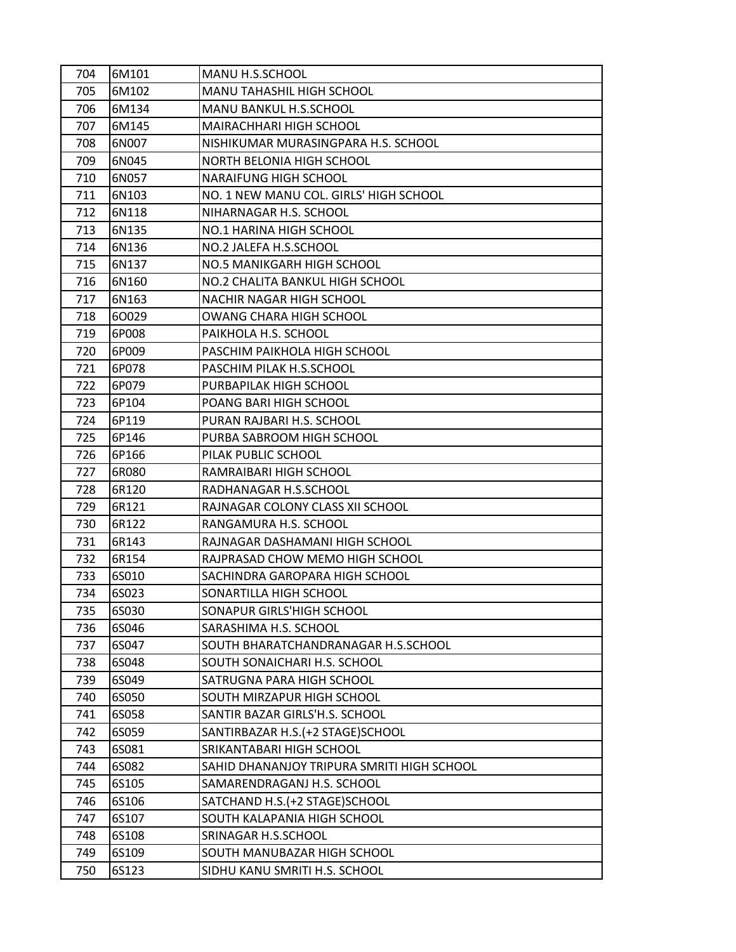| 704 | 6M101 | MANU H.S.SCHOOL                            |
|-----|-------|--------------------------------------------|
| 705 | 6M102 | MANU TAHASHIL HIGH SCHOOL                  |
| 706 | 6M134 | MANU BANKUL H.S.SCHOOL                     |
| 707 | 6M145 | MAIRACHHARI HIGH SCHOOL                    |
| 708 | 6N007 | NISHIKUMAR MURASINGPARA H.S. SCHOOL        |
| 709 | 6N045 | NORTH BELONIA HIGH SCHOOL                  |
| 710 | 6N057 | NARAIFUNG HIGH SCHOOL                      |
| 711 | 6N103 | NO. 1 NEW MANU COL. GIRLS' HIGH SCHOOL     |
| 712 | 6N118 | NIHARNAGAR H.S. SCHOOL                     |
| 713 | 6N135 | NO.1 HARINA HIGH SCHOOL                    |
| 714 | 6N136 | NO.2 JALEFA H.S.SCHOOL                     |
| 715 | 6N137 | NO.5 MANIKGARH HIGH SCHOOL                 |
| 716 | 6N160 | NO.2 CHALITA BANKUL HIGH SCHOOL            |
| 717 | 6N163 | <b>NACHIR NAGAR HIGH SCHOOL</b>            |
| 718 | 60029 | OWANG CHARA HIGH SCHOOL                    |
| 719 | 6P008 | PAIKHOLA H.S. SCHOOL                       |
| 720 | 6P009 | PASCHIM PAIKHOLA HIGH SCHOOL               |
| 721 | 6P078 | PASCHIM PILAK H.S.SCHOOL                   |
| 722 | 6P079 | PURBAPILAK HIGH SCHOOL                     |
| 723 | 6P104 | POANG BARI HIGH SCHOOL                     |
| 724 | 6P119 | PURAN RAJBARI H.S. SCHOOL                  |
| 725 | 6P146 | PURBA SABROOM HIGH SCHOOL                  |
| 726 | 6P166 | PILAK PUBLIC SCHOOL                        |
| 727 | 6R080 | RAMRAIBARI HIGH SCHOOL                     |
| 728 | 6R120 | RADHANAGAR H.S.SCHOOL                      |
| 729 | 6R121 | RAJNAGAR COLONY CLASS XII SCHOOL           |
| 730 | 6R122 | RANGAMURA H.S. SCHOOL                      |
| 731 | 6R143 | RAJNAGAR DASHAMANI HIGH SCHOOL             |
| 732 | 6R154 | RAJPRASAD CHOW MEMO HIGH SCHOOL            |
| 733 | 6S010 | SACHINDRA GAROPARA HIGH SCHOOL             |
| 734 | 6S023 | SONARTILLA HIGH SCHOOL                     |
| 735 | 6S030 | SONAPUR GIRLS'HIGH SCHOOL                  |
| 736 | 6S046 | SARASHIMA H.S. SCHOOL                      |
| 737 | 6S047 | SOUTH BHARATCHANDRANAGAR H.S.SCHOOL        |
| 738 | 6S048 | SOUTH SONAICHARI H.S. SCHOOL               |
| 739 | 6S049 | SATRUGNA PARA HIGH SCHOOL                  |
| 740 | 6S050 | SOUTH MIRZAPUR HIGH SCHOOL                 |
| 741 | 6S058 | SANTIR BAZAR GIRLS'H.S. SCHOOL             |
| 742 | 6S059 | SANTIRBAZAR H.S. (+2 STAGE) SCHOOL         |
| 743 | 6S081 | SRIKANTABARI HIGH SCHOOL                   |
| 744 | 6S082 | SAHID DHANANJOY TRIPURA SMRITI HIGH SCHOOL |
| 745 | 6S105 | SAMARENDRAGANJ H.S. SCHOOL                 |
| 746 | 6S106 | SATCHAND H.S. (+2 STAGE) SCHOOL            |
| 747 | 6S107 | SOUTH KALAPANIA HIGH SCHOOL                |
| 748 | 6S108 | SRINAGAR H.S.SCHOOL                        |
| 749 | 6S109 | SOUTH MANUBAZAR HIGH SCHOOL                |
| 750 | 6S123 | SIDHU KANU SMRITI H.S. SCHOOL              |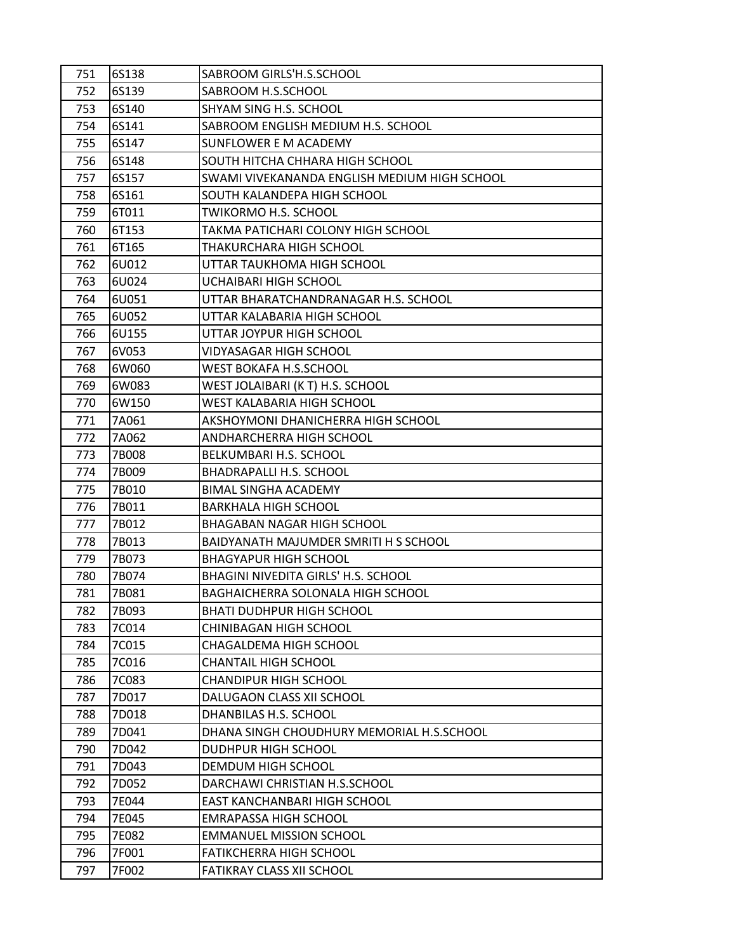| 751        | 6S138          | SABROOM GIRLS'H.S.SCHOOL                              |
|------------|----------------|-------------------------------------------------------|
| 752        | 6S139          | SABROOM H.S.SCHOOL                                    |
| 753        | 6S140          | SHYAM SING H.S. SCHOOL                                |
| 754        | 6S141          | SABROOM ENGLISH MEDIUM H.S. SCHOOL                    |
| 755        | 6S147          | SUNFLOWER E M ACADEMY                                 |
| 756        | 6S148          | SOUTH HITCHA CHHARA HIGH SCHOOL                       |
| 757        | 6S157          | SWAMI VIVEKANANDA ENGLISH MEDIUM HIGH SCHOOL          |
| 758        | 6S161          | SOUTH KALANDEPA HIGH SCHOOL                           |
| 759        | 6T011          | TWIKORMO H.S. SCHOOL                                  |
| 760        | 6T153          | TAKMA PATICHARI COLONY HIGH SCHOOL                    |
| 761        | 6T165          | THAKURCHARA HIGH SCHOOL                               |
| 762        | 6U012          | UTTAR TAUKHOMA HIGH SCHOOL                            |
| 763        | 6U024          | UCHAIBARI HIGH SCHOOL                                 |
| 764        | 6U051          | UTTAR BHARATCHANDRANAGAR H.S. SCHOOL                  |
| 765        | 6U052          | UTTAR KALABARIA HIGH SCHOOL                           |
| 766        | 6U155          | UTTAR JOYPUR HIGH SCHOOL                              |
| 767        | 6V053          | VIDYASAGAR HIGH SCHOOL                                |
| 768        | 6W060          | WEST BOKAFA H.S.SCHOOL                                |
| 769        | 6W083          | WEST JOLAIBARI (K T) H.S. SCHOOL                      |
| 770        | 6W150          | WEST KALABARIA HIGH SCHOOL                            |
| 771        | 7A061          | AKSHOYMONI DHANICHERRA HIGH SCHOOL                    |
| 772        | 7A062          | ANDHARCHERRA HIGH SCHOOL                              |
| 773        | 7B008          | BELKUMBARI H.S. SCHOOL                                |
| 774        | 7B009          | BHADRAPALLI H.S. SCHOOL                               |
| 775        | 7B010          | <b>BIMAL SINGHA ACADEMY</b>                           |
| 776        | 7B011          | BARKHALA HIGH SCHOOL                                  |
| 777        | 7B012          | BHAGABAN NAGAR HIGH SCHOOL                            |
| 778        | 7B013          | BAIDYANATH MAJUMDER SMRITI H S SCHOOL                 |
| 779        | 7B073          | <b>BHAGYAPUR HIGH SCHOOL</b>                          |
| 780        | 7B074          | BHAGINI NIVEDITA GIRLS' H.S. SCHOOL                   |
| 781        | 7B081          | BAGHAICHERRA SOLONALA HIGH SCHOOL                     |
| 782        | 7B093          | <b>BHATI DUDHPUR HIGH SCHOOL</b>                      |
| 783        | 7C014          | CHINIBAGAN HIGH SCHOOL                                |
| 784        | 7C015<br>7C016 | CHAGALDEMA HIGH SCHOOL<br><b>CHANTAIL HIGH SCHOOL</b> |
| 785<br>786 | 7C083          | <b>CHANDIPUR HIGH SCHOOL</b>                          |
| 787        | 7D017          | DALUGAON CLASS XII SCHOOL                             |
| 788        | 7D018          | DHANBILAS H.S. SCHOOL                                 |
| 789        | 7D041          | DHANA SINGH CHOUDHURY MEMORIAL H.S.SCHOOL             |
| 790        | 7D042          | DUDHPUR HIGH SCHOOL                                   |
| 791        | 7D043          | DEMDUM HIGH SCHOOL                                    |
| 792        | 7D052          | DARCHAWI CHRISTIAN H.S.SCHOOL                         |
| 793        | 7E044          | EAST KANCHANBARI HIGH SCHOOL                          |
| 794        | 7E045          | <b>EMRAPASSA HIGH SCHOOL</b>                          |
| 795        | 7E082          | <b>EMMANUEL MISSION SCHOOL</b>                        |
| 796        | 7F001          | <b>FATIKCHERRA HIGH SCHOOL</b>                        |
| 797        | 7F002          | FATIKRAY CLASS XII SCHOOL                             |
|            |                |                                                       |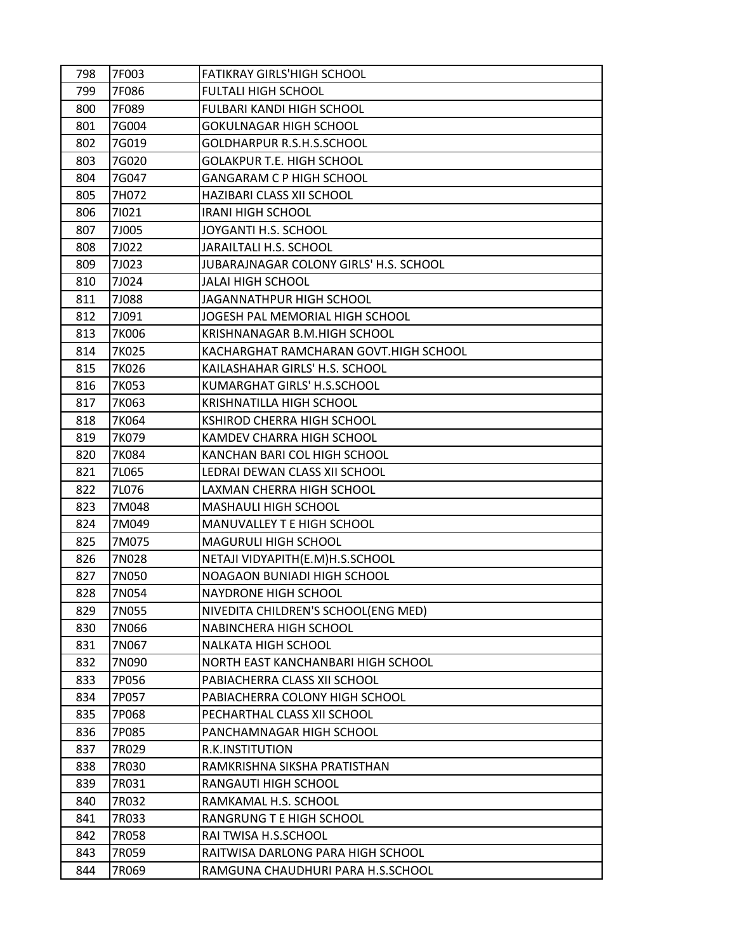| 798 | 7F003 | <b>FATIKRAY GIRLS'HIGH SCHOOL</b>      |
|-----|-------|----------------------------------------|
| 799 | 7F086 | FULTALI HIGH SCHOOL                    |
| 800 | 7F089 | FULBARI KANDI HIGH SCHOOL              |
| 801 | 7G004 | <b>GOKULNAGAR HIGH SCHOOL</b>          |
| 802 | 7G019 | GOLDHARPUR R.S.H.S.SCHOOL              |
| 803 | 7G020 | <b>GOLAKPUR T.E. HIGH SCHOOL</b>       |
| 804 | 7G047 | GANGARAM C P HIGH SCHOOL               |
| 805 | 7H072 | HAZIBARI CLASS XII SCHOOL              |
| 806 | 71021 | <b>IRANI HIGH SCHOOL</b>               |
| 807 | 7J005 | JOYGANTI H.S. SCHOOL                   |
| 808 | 7J022 | JARAILTALI H.S. SCHOOL                 |
| 809 | 7J023 | JUBARAJNAGAR COLONY GIRLS' H.S. SCHOOL |
| 810 | 7J024 | JALAI HIGH SCHOOL                      |
| 811 | 7J088 | JAGANNATHPUR HIGH SCHOOL               |
| 812 | 7J091 | JOGESH PAL MEMORIAL HIGH SCHOOL        |
| 813 | 7K006 | KRISHNANAGAR B.M.HIGH SCHOOL           |
| 814 | 7K025 | KACHARGHAT RAMCHARAN GOVT.HIGH SCHOOL  |
| 815 | 7K026 | KAILASHAHAR GIRLS' H.S. SCHOOL         |
| 816 | 7K053 | KUMARGHAT GIRLS' H.S.SCHOOL            |
| 817 | 7K063 | <b>KRISHNATILLA HIGH SCHOOL</b>        |
| 818 | 7K064 | KSHIROD CHERRA HIGH SCHOOL             |
| 819 | 7K079 | KAMDEV CHARRA HIGH SCHOOL              |
| 820 | 7K084 | KANCHAN BARI COL HIGH SCHOOL           |
| 821 | 7L065 | LEDRAI DEWAN CLASS XII SCHOOL          |
| 822 | 7L076 | LAXMAN CHERRA HIGH SCHOOL              |
| 823 | 7M048 | <b>MASHAULI HIGH SCHOOL</b>            |
| 824 | 7M049 | MANUVALLEY T E HIGH SCHOOL             |
| 825 | 7M075 | MAGURULI HIGH SCHOOL                   |
| 826 | 7N028 | NETAJI VIDYAPITH(E.M)H.S.SCHOOL        |
| 827 | 7N050 | NOAGAON BUNIADI HIGH SCHOOL            |
| 828 | 7N054 | NAYDRONE HIGH SCHOOL                   |
| 829 | 7N055 | NIVEDITA CHILDREN'S SCHOOL(ENG MED)    |
| 830 | 7N066 | NABINCHERA HIGH SCHOOL                 |
| 831 | 7N067 | NALKATA HIGH SCHOOL                    |
| 832 | 7N090 | NORTH EAST KANCHANBARI HIGH SCHOOL     |
| 833 | 7P056 | PABIACHERRA CLASS XII SCHOOL           |
| 834 | 7P057 | PABIACHERRA COLONY HIGH SCHOOL         |
| 835 | 7P068 | PECHARTHAL CLASS XII SCHOOL            |
| 836 | 7P085 | PANCHAMNAGAR HIGH SCHOOL               |
| 837 | 7R029 | R.K.INSTITUTION                        |
| 838 | 7R030 | RAMKRISHNA SIKSHA PRATISTHAN           |
| 839 | 7R031 | RANGAUTI HIGH SCHOOL                   |
| 840 | 7R032 | RAMKAMAL H.S. SCHOOL                   |
| 841 | 7R033 | RANGRUNG T E HIGH SCHOOL               |
| 842 | 7R058 | RAI TWISA H.S.SCHOOL                   |
| 843 | 7R059 | RAITWISA DARLONG PARA HIGH SCHOOL      |
| 844 | 7R069 | RAMGUNA CHAUDHURI PARA H.S.SCHOOL      |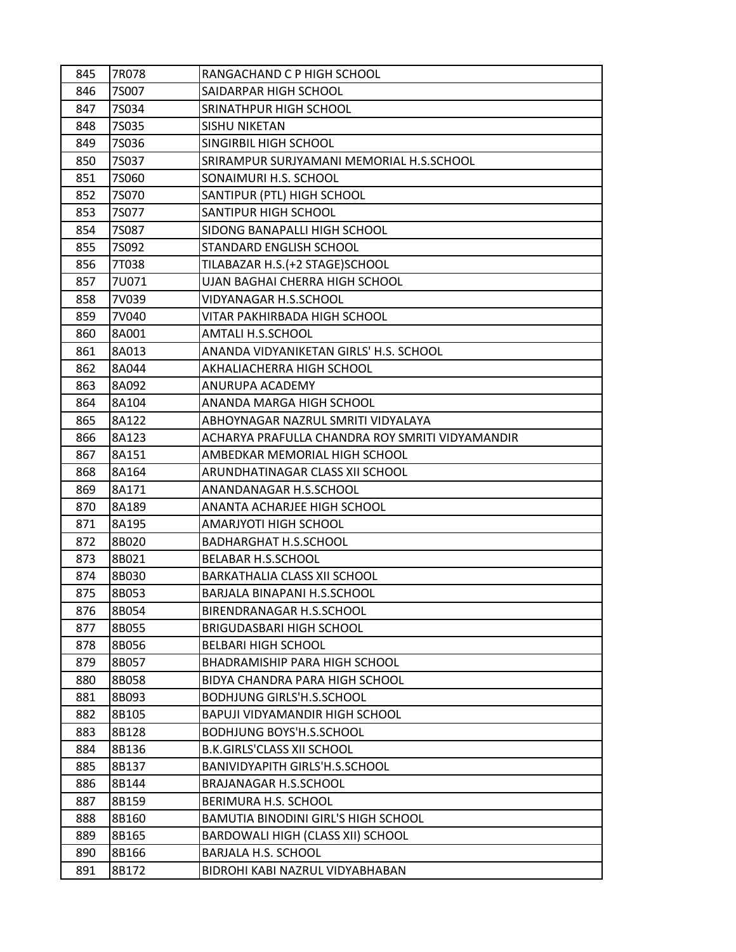| 845        | 7R078          | RANGACHAND C P HIGH SCHOOL                                         |
|------------|----------------|--------------------------------------------------------------------|
| 846        | 7S007          | SAIDARPAR HIGH SCHOOL                                              |
| 847        | 7S034          | SRINATHPUR HIGH SCHOOL                                             |
| 848        | 7S035          | <b>SISHU NIKETAN</b>                                               |
| 849        | <b>7S036</b>   | SINGIRBIL HIGH SCHOOL                                              |
| 850        | 7S037          | SRIRAMPUR SURJYAMANI MEMORIAL H.S.SCHOOL                           |
| 851        | 7S060          | SONAIMURI H.S. SCHOOL                                              |
| 852        | 7S070          | SANTIPUR (PTL) HIGH SCHOOL                                         |
| 853        | 7S077          | SANTIPUR HIGH SCHOOL                                               |
| 854        | <b>7S087</b>   | SIDONG BANAPALLI HIGH SCHOOL                                       |
| 855        | 7S092          | STANDARD ENGLISH SCHOOL                                            |
| 856        | 7T038          | TILABAZAR H.S. (+2 STAGE) SCHOOL                                   |
| 857        | 7U071          | UJAN BAGHAI CHERRA HIGH SCHOOL                                     |
| 858        | 7V039          | VIDYANAGAR H.S.SCHOOL                                              |
| 859        | 7V040          | VITAR PAKHIRBADA HIGH SCHOOL                                       |
| 860        | 8A001          | AMTALI H.S.SCHOOL                                                  |
| 861        | 8A013          | ANANDA VIDYANIKETAN GIRLS' H.S. SCHOOL                             |
| 862        | 8A044          | AKHALIACHERRA HIGH SCHOOL                                          |
| 863        | 8A092          | ANURUPA ACADEMY                                                    |
| 864        | 8A104          | ANANDA MARGA HIGH SCHOOL                                           |
| 865        | 8A122          | ABHOYNAGAR NAZRUL SMRITI VIDYALAYA                                 |
| 866        | 8A123          | ACHARYA PRAFULLA CHANDRA ROY SMRITI VIDYAMANDIR                    |
| 867        | 8A151          | AMBEDKAR MEMORIAL HIGH SCHOOL                                      |
| 868        | 8A164          | ARUNDHATINAGAR CLASS XII SCHOOL                                    |
| 869        | 8A171          | ANANDANAGAR H.S.SCHOOL                                             |
| 870        | 8A189          | ANANTA ACHARJEE HIGH SCHOOL                                        |
| 871        | 8A195          | AMARJYOTI HIGH SCHOOL                                              |
| 872        | 8B020          | <b>BADHARGHAT H.S.SCHOOL</b>                                       |
| 873        | 8B021          | <b>BELABAR H.S.SCHOOL</b>                                          |
| 874        | 8B030          | BARKATHALIA CLASS XII SCHOOL                                       |
| 875        | 8B053          | BARJALA BINAPANI H.S.SCHOOL                                        |
| 876        | 8B054          | BIRENDRANAGAR H.S.SCHOOL                                           |
| 877        | 8B055          | <b>BRIGUDASBARI HIGH SCHOOL</b>                                    |
| 878        | 8B056          | <b>BELBARI HIGH SCHOOL</b>                                         |
| 879        | 8B057          | <b>BHADRAMISHIP PARA HIGH SCHOOL</b>                               |
| 880        | 8B058          | BIDYA CHANDRA PARA HIGH SCHOOL                                     |
| 881        | 8B093          | <b>BODHJUNG GIRLS'H.S.SCHOOL</b>                                   |
| 882        | 8B105          | <b>BAPUJI VIDYAMANDIR HIGH SCHOOL</b>                              |
| 883        | 8B128          | <b>BODHJUNG BOYS'H.S.SCHOOL</b>                                    |
| 884        | 8B136          | <b>B.K.GIRLS'CLASS XII SCHOOL</b>                                  |
| 885        | 8B137<br>8B144 | BANIVIDYAPITH GIRLS'H.S.SCHOOL<br><b>BRAJANAGAR H.S.SCHOOL</b>     |
| 886        |                |                                                                    |
| 887        | 8B159          | BERIMURA H.S. SCHOOL<br><b>BAMUTIA BINODINI GIRL'S HIGH SCHOOL</b> |
| 888        | 8B160          |                                                                    |
| 889<br>890 | 8B165          | BARDOWALI HIGH (CLASS XII) SCHOOL<br><b>BARJALA H.S. SCHOOL</b>    |
| 891        | 8B166<br>8B172 | BIDROHI KABI NAZRUL VIDYABHABAN                                    |
|            |                |                                                                    |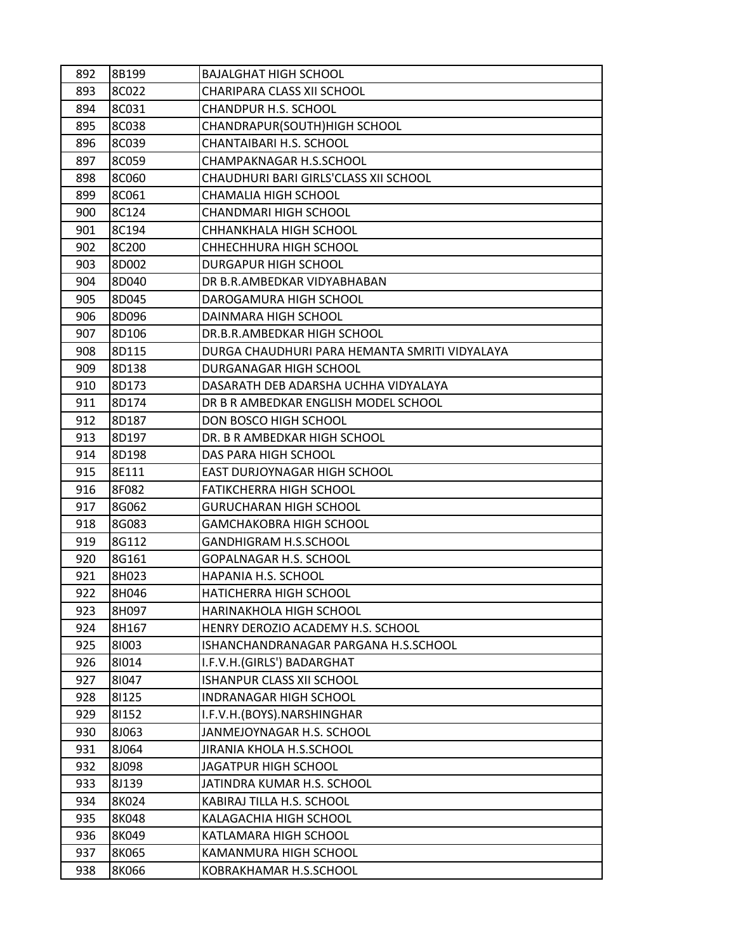| 892 | 8B199 | <b>BAJALGHAT HIGH SCHOOL</b>                  |
|-----|-------|-----------------------------------------------|
| 893 | 8C022 | CHARIPARA CLASS XII SCHOOL                    |
| 894 | 8C031 | <b>CHANDPUR H.S. SCHOOL</b>                   |
| 895 | 8C038 | CHANDRAPUR(SOUTH)HIGH SCHOOL                  |
| 896 | 8C039 | CHANTAIBARI H.S. SCHOOL                       |
| 897 | 8C059 | CHAMPAKNAGAR H.S.SCHOOL                       |
| 898 | 8C060 | CHAUDHURI BARI GIRLS'CLASS XII SCHOOL         |
| 899 | 8C061 | CHAMALIA HIGH SCHOOL                          |
| 900 | 8C124 | CHANDMARI HIGH SCHOOL                         |
| 901 | 8C194 | CHHANKHALA HIGH SCHOOL                        |
| 902 | 8C200 | CHHECHHURA HIGH SCHOOL                        |
| 903 | 8D002 | <b>DURGAPUR HIGH SCHOOL</b>                   |
| 904 | 8D040 | DR B.R.AMBEDKAR VIDYABHABAN                   |
| 905 | 8D045 | DAROGAMURA HIGH SCHOOL                        |
| 906 | 8D096 | DAINMARA HIGH SCHOOL                          |
| 907 | 8D106 | DR.B.R.AMBEDKAR HIGH SCHOOL                   |
| 908 | 8D115 | DURGA CHAUDHURI PARA HEMANTA SMRITI VIDYALAYA |
| 909 | 8D138 | DURGANAGAR HIGH SCHOOL                        |
| 910 | 8D173 | DASARATH DEB ADARSHA UCHHA VIDYALAYA          |
| 911 | 8D174 | DR B R AMBEDKAR ENGLISH MODEL SCHOOL          |
| 912 | 8D187 | DON BOSCO HIGH SCHOOL                         |
| 913 | 8D197 | DR. B R AMBEDKAR HIGH SCHOOL                  |
| 914 | 8D198 | DAS PARA HIGH SCHOOL                          |
| 915 | 8E111 | EAST DURJOYNAGAR HIGH SCHOOL                  |
| 916 | 8F082 | <b>FATIKCHERRA HIGH SCHOOL</b>                |
| 917 | 8G062 | <b>GURUCHARAN HIGH SCHOOL</b>                 |
| 918 | 8G083 | <b>GAMCHAKOBRA HIGH SCHOOL</b>                |
| 919 | 8G112 | <b>GANDHIGRAM H.S.SCHOOL</b>                  |
| 920 | 8G161 | GOPALNAGAR H.S. SCHOOL                        |
| 921 | 8H023 | HAPANIA H.S. SCHOOL                           |
| 922 | 8H046 | HATICHERRA HIGH SCHOOL                        |
| 923 | 8H097 | HARINAKHOLA HIGH SCHOOL                       |
| 924 | 8H167 | HENRY DEROZIO ACADEMY H.S. SCHOOL             |
| 925 | 81003 | ISHANCHANDRANAGAR PARGANA H.S.SCHOOL          |
| 926 | 81014 | I.F.V.H.(GIRLS') BADARGHAT                    |
| 927 | 81047 | <b>ISHANPUR CLASS XII SCHOOL</b>              |
| 928 | 81125 | INDRANAGAR HIGH SCHOOL                        |
| 929 | 81152 | I.F.V.H.(BOYS).NARSHINGHAR                    |
| 930 | 8J063 | JANMEJOYNAGAR H.S. SCHOOL                     |
| 931 | 8J064 | JIRANIA KHOLA H.S.SCHOOL                      |
| 932 | 8J098 | JAGATPUR HIGH SCHOOL                          |
| 933 | 8J139 | JATINDRA KUMAR H.S. SCHOOL                    |
| 934 | 8K024 | KABIRAJ TILLA H.S. SCHOOL                     |
| 935 | 8K048 | KALAGACHIA HIGH SCHOOL                        |
| 936 | 8K049 | KATLAMARA HIGH SCHOOL                         |
| 937 | 8K065 | KAMANMURA HIGH SCHOOL                         |
| 938 | 8K066 | KOBRAKHAMAR H.S.SCHOOL                        |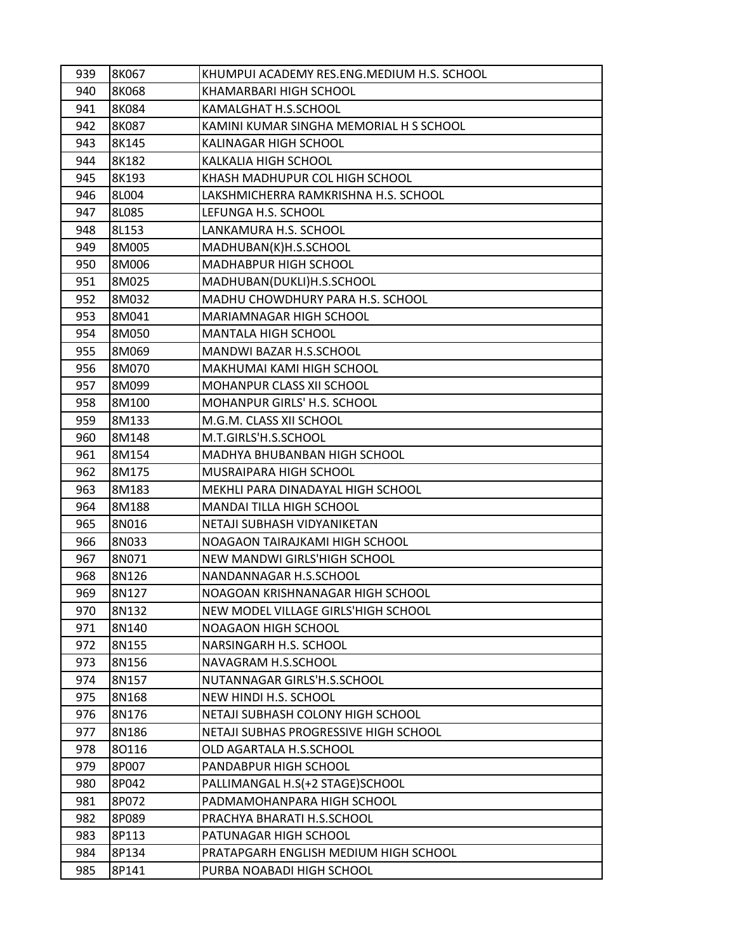| 939 | 8K067 | KHUMPUI ACADEMY RES.ENG.MEDIUM H.S. SCHOOL |
|-----|-------|--------------------------------------------|
| 940 | 8K068 | KHAMARBARI HIGH SCHOOL                     |
| 941 | 8K084 | KAMALGHAT H.S.SCHOOL                       |
| 942 | 8K087 | KAMINI KUMAR SINGHA MEMORIAL H S SCHOOL    |
| 943 | 8K145 | KALINAGAR HIGH SCHOOL                      |
| 944 | 8K182 | KALKALIA HIGH SCHOOL                       |
| 945 | 8K193 | KHASH MADHUPUR COL HIGH SCHOOL             |
| 946 | 8L004 | LAKSHMICHERRA RAMKRISHNA H.S. SCHOOL       |
| 947 | 8L085 | LEFUNGA H.S. SCHOOL                        |
| 948 | 8L153 | LANKAMURA H.S. SCHOOL                      |
| 949 | 8M005 | MADHUBAN(K)H.S.SCHOOL                      |
| 950 | 8M006 | MADHABPUR HIGH SCHOOL                      |
| 951 | 8M025 | MADHUBAN(DUKLI)H.S.SCHOOL                  |
| 952 | 8M032 | MADHU CHOWDHURY PARA H.S. SCHOOL           |
| 953 | 8M041 | MARIAMNAGAR HIGH SCHOOL                    |
| 954 | 8M050 | <b>MANTALA HIGH SCHOOL</b>                 |
| 955 | 8M069 | MANDWI BAZAR H.S.SCHOOL                    |
| 956 | 8M070 | MAKHUMAI KAMI HIGH SCHOOL                  |
| 957 | 8M099 | MOHANPUR CLASS XII SCHOOL                  |
| 958 | 8M100 | MOHANPUR GIRLS' H.S. SCHOOL                |
| 959 | 8M133 | M.G.M. CLASS XII SCHOOL                    |
| 960 | 8M148 | M.T.GIRLS'H.S.SCHOOL                       |
| 961 | 8M154 | MADHYA BHUBANBAN HIGH SCHOOL               |
| 962 | 8M175 | MUSRAIPARA HIGH SCHOOL                     |
| 963 | 8M183 | MEKHLI PARA DINADAYAL HIGH SCHOOL          |
| 964 | 8M188 | <b>MANDAI TILLA HIGH SCHOOL</b>            |
| 965 | 8N016 | NETAJI SUBHASH VIDYANIKETAN                |
| 966 | 8N033 | NOAGAON TAIRAJKAMI HIGH SCHOOL             |
| 967 | 8N071 | NEW MANDWI GIRLS'HIGH SCHOOL               |
| 968 | 8N126 | NANDANNAGAR H.S.SCHOOL                     |
| 969 | 8N127 | NOAGOAN KRISHNANAGAR HIGH SCHOOL           |
| 970 | 8N132 | NEW MODEL VILLAGE GIRLS'HIGH SCHOOL        |
| 971 | 8N140 | NOAGAON HIGH SCHOOL                        |
| 972 | 8N155 | NARSINGARH H.S. SCHOOL                     |
| 973 | 8N156 | NAVAGRAM H.S.SCHOOL                        |
| 974 | 8N157 | NUTANNAGAR GIRLS'H.S.SCHOOL                |
| 975 | 8N168 | NEW HINDI H.S. SCHOOL                      |
| 976 | 8N176 | NETAJI SUBHASH COLONY HIGH SCHOOL          |
| 977 | 8N186 | NETAJI SUBHAS PROGRESSIVE HIGH SCHOOL      |
| 978 | 80116 | OLD AGARTALA H.S.SCHOOL                    |
| 979 | 8P007 | PANDABPUR HIGH SCHOOL                      |
| 980 | 8P042 | PALLIMANGAL H.S(+2 STAGE)SCHOOL            |
| 981 | 8P072 | PADMAMOHANPARA HIGH SCHOOL                 |
| 982 | 8P089 | PRACHYA BHARATI H.S.SCHOOL                 |
| 983 | 8P113 | PATUNAGAR HIGH SCHOOL                      |
| 984 | 8P134 | PRATAPGARH ENGLISH MEDIUM HIGH SCHOOL      |
| 985 | 8P141 | PURBA NOABADI HIGH SCHOOL                  |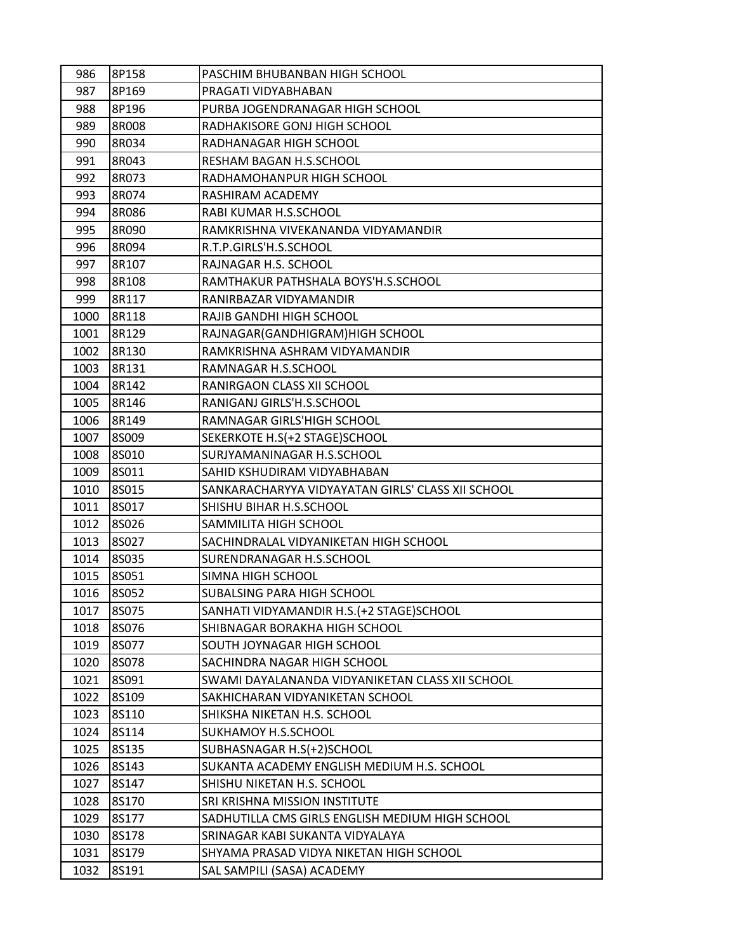| 986          | 8P158          | PASCHIM BHUBANBAN HIGH SCHOOL                                                  |
|--------------|----------------|--------------------------------------------------------------------------------|
| 987          | 8P169          | PRAGATI VIDYABHABAN                                                            |
| 988          | 8P196          | PURBA JOGENDRANAGAR HIGH SCHOOL                                                |
| 989          | 8R008          | RADHAKISORE GONJ HIGH SCHOOL                                                   |
| 990          | 8R034          | RADHANAGAR HIGH SCHOOL                                                         |
| 991          | 8R043          | RESHAM BAGAN H.S.SCHOOL                                                        |
| 992          | 8R073          | RADHAMOHANPUR HIGH SCHOOL                                                      |
| 993          | 8R074          | RASHIRAM ACADEMY                                                               |
| 994          | 8R086          | RABI KUMAR H.S.SCHOOL                                                          |
| 995          | 8R090          | RAMKRISHNA VIVEKANANDA VIDYAMANDIR                                             |
| 996          | 8R094          | R.T.P.GIRLS'H.S.SCHOOL                                                         |
| 997          | 8R107          | RAJNAGAR H.S. SCHOOL                                                           |
| 998          | 8R108          | RAMTHAKUR PATHSHALA BOYS'H.S.SCHOOL                                            |
| 999          | 8R117          | RANIRBAZAR VIDYAMANDIR                                                         |
| 1000         | 8R118          | RAJIB GANDHI HIGH SCHOOL                                                       |
| 1001         | 8R129          | RAJNAGAR(GANDHIGRAM)HIGH SCHOOL                                                |
| 1002         | 8R130          | RAMKRISHNA ASHRAM VIDYAMANDIR                                                  |
| 1003         | 8R131          | RAMNAGAR H.S.SCHOOL                                                            |
| 1004         | 8R142          | RANIRGAON CLASS XII SCHOOL                                                     |
| 1005         | 8R146          | RANIGANJ GIRLS'H.S.SCHOOL                                                      |
| 1006         | 8R149          | RAMNAGAR GIRLS'HIGH SCHOOL                                                     |
| 1007         | 8S009          | SEKERKOTE H.S(+2 STAGE)SCHOOL                                                  |
| 1008         | 8S010          | SURJYAMANINAGAR H.S.SCHOOL                                                     |
| 1009         | 8S011          | SAHID KSHUDIRAM VIDYABHABAN                                                    |
| 1010         | 8S015          | SANKARACHARYYA VIDYAYATAN GIRLS' CLASS XII SCHOOL                              |
| 1011         | 8S017          | SHISHU BIHAR H.S.SCHOOL                                                        |
| 1012         | 8S026          | SAMMILITA HIGH SCHOOL                                                          |
| 1013         | 8S027          | SACHINDRALAL VIDYANIKETAN HIGH SCHOOL                                          |
| 1014         | 8S035          | SURENDRANAGAR H.S.SCHOOL                                                       |
| 1015         | 8S051          | SIMNA HIGH SCHOOL                                                              |
| 1016         | 8S052          | SUBALSING PARA HIGH SCHOOL                                                     |
| 1017         | 8S075          | SANHATI VIDYAMANDIR H.S.(+2 STAGE)SCHOOL                                       |
| 1018         | 8S076          | SHIBNAGAR BORAKHA HIGH SCHOOL                                                  |
| 1019         | 8S077          | SOUTH JOYNAGAR HIGH SCHOOL                                                     |
| 1020         | 8S078          | SACHINDRA NAGAR HIGH SCHOOL<br>SWAMI DAYALANANDA VIDYANIKETAN CLASS XII SCHOOL |
| 1021<br>1022 | 8S091<br>8S109 | SAKHICHARAN VIDYANIKETAN SCHOOL                                                |
| 1023         | 8S110          | SHIKSHA NIKETAN H.S. SCHOOL                                                    |
| 1024         | 8S114          | SUKHAMOY H.S.SCHOOL                                                            |
| 1025         | 8S135          | SUBHASNAGAR H.S(+2)SCHOOL                                                      |
| 1026         | 8S143          | SUKANTA ACADEMY ENGLISH MEDIUM H.S. SCHOOL                                     |
| 1027         | 8S147          | SHISHU NIKETAN H.S. SCHOOL                                                     |
| 1028         | 8S170          | SRI KRISHNA MISSION INSTITUTE                                                  |
| 1029         | 8S177          | SADHUTILLA CMS GIRLS ENGLISH MEDIUM HIGH SCHOOL                                |
| 1030         | 8S178          | SRINAGAR KABI SUKANTA VIDYALAYA                                                |
| 1031         | 8S179          | SHYAMA PRASAD VIDYA NIKETAN HIGH SCHOOL                                        |
| 1032         | 8S191          | SAL SAMPILI (SASA) ACADEMY                                                     |
|              |                |                                                                                |